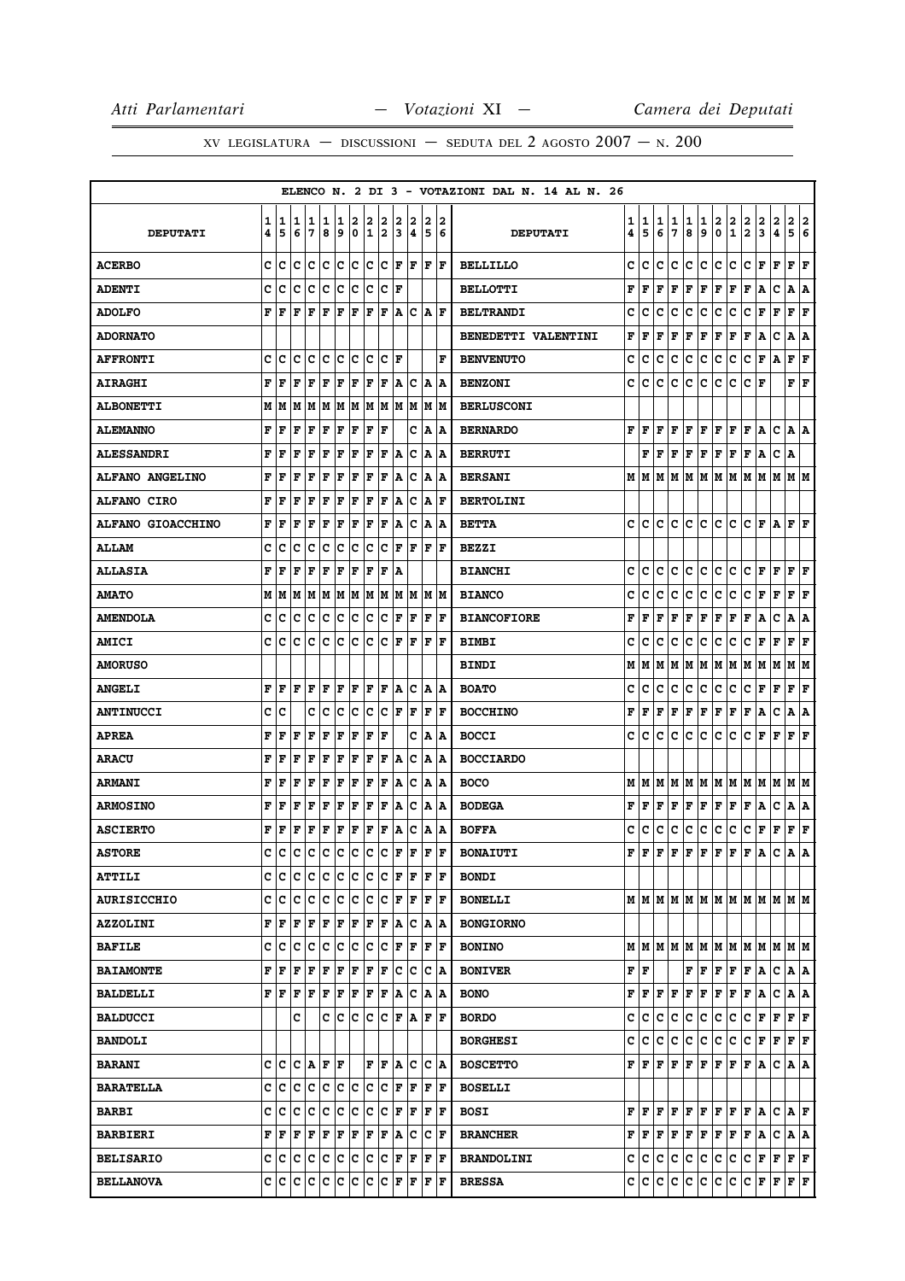|                          |        |        |        |        |             |        |                  |        |             |        |        |        |                      | ELENCO N. 2 DI 3 - VOTAZIONI DAL N. 14 AL N. 26 |        |        |        |             |        |              |         |                                       |                       |               |                         |                      |                       |
|--------------------------|--------|--------|--------|--------|-------------|--------|------------------|--------|-------------|--------|--------|--------|----------------------|-------------------------------------------------|--------|--------|--------|-------------|--------|--------------|---------|---------------------------------------|-----------------------|---------------|-------------------------|----------------------|-----------------------|
| <b>DEPUTATI</b>          | 1<br>4 | 1<br>5 | 1<br>6 | 1<br>7 | 1<br>8      | 1<br>9 | 2<br>$\mathbf 0$ | 2<br>1 | 2<br>2      | 2<br>3 | 2<br>4 | 2<br>5 | 2<br>6               | <b>DEPUTATI</b>                                 | 1<br>4 | 1<br>5 | 1<br>6 | 1<br>7      | 1<br>8 | 1<br>9       | 2<br>۱o | $\begin{array}{c} 2 \\ 1 \end{array}$ | $\frac{2}{2}$         | $\frac{2}{3}$ | $\frac{2}{4}$           | 2<br>5               | 2<br>$\boldsymbol{6}$ |
|                          |        |        |        |        |             |        |                  |        |             |        |        |        |                      |                                                 |        |        |        |             |        |              |         |                                       |                       |               |                         |                      |                       |
| <b>ACERBO</b>            | C      | c      | lc.    | c      | lc.         | lc.    | c                | lc.    | c           |        | F F    |        | F  F                 | <b>BELLILLO</b>                                 | C      | c      | c      | $\mathbf c$ | c      | $\mathbf{C}$ | c       | c                                     | C                     | F             | $\mathbf F$             | F                    | F                     |
| <b>ADENTI</b>            | c      | c      | Iс     | с      | c           | c      | ∣c               | lc.    | ∣c          | F      |        |        |                      | <b>BELLOTTI</b>                                 | F      | F      | F      | F           | F      | $\mathbf F$  | F       | F                                     | F                     | A             | c                       | Α                    | A                     |
| <b>ADOLFO</b>            | F      | F      | l F    | F      | l F         | F      | F                | F      | F           | ١A     | Iс     |        | A  F                 | <b>BELTRANDI</b>                                | c      | c      | c      | c           | c      | c            | c       | c                                     | c                     | F             | F                       | F                    | F                     |
| <b>ADORNATO</b>          |        |        |        |        |             |        |                  |        |             |        |        |        |                      | BENEDETTI VALENTINI                             | F      | F      | F      | F           | F      | F            | F       | F                                     | $\mathbf{F}$          | A             | c                       | A                    | Α                     |
| <b>AFFRONTI</b>          | c      | c      | c      | с      | c           | c      | c                | c      | c           | l F    |        |        | F                    | <b>BENVENUTO</b>                                | c      | c      | c      | c           | c      | c            | c       | c                                     | c                     | F             | А                       | F                    | F                     |
| <b>AIRAGHI</b>           | F      | F      | l F    | F      | F           | F      | F                | F      | F           |        | A   C  |        | A  A                 | <b>BENZONI</b>                                  | c      | c      | c      | c           | c      | c            | c       | c                                     | c                     | F             |                         | F                    | F                     |
| <b>ALBONETTI</b>         | M      | M      | М      | M      | M           | M      | M                | M      | M           | lм     | M      |        | M M                  | <b>BERLUSCONI</b>                               |        |        |        |             |        |              |         |                                       |                       |               |                         |                      |                       |
| <b>ALEMANNO</b>          | F      | F      | F      | F      | F           | F      | F                | F      | F           |        | c      |        | A  A                 | <b>BERNARDO</b>                                 | F      | l F    | F      | F           | F      | F            | F       | F                                     | F                     | ١A            | $\mathbf c$             | A   A                |                       |
| <b>ALESSANDRI</b>        | F      | F      | F      | F      | F           | F      | F                | F      | F           | ١A     | Ιc     |        | A  A                 | <b>BERRUTI</b>                                  |        | F      | F      | F           | F      | $\mathbf F$  | F       | F                                     | F                     | A             | c                       | ١A                   |                       |
| <b>ALFANO ANGELINO</b>   | F      | F      | F      | F      | $\mathbf F$ | F      | F                | F      | F           | A      | c      | ١A     | ۱A                   | <b>BERSANI</b>                                  | М      | lм     | M      | M           | M      | M            | lм      | M                                     | lм                    | lМ            | М                       | M M                  |                       |
| <b>ALFANO CIRO</b>       | F      | F      | F      | F      | F           | F      | F                | F      | F           | A      | Iс     |        | A  F                 | <b>BERTOLINI</b>                                |        |        |        |             |        |              |         |                                       |                       |               |                         |                      |                       |
| <b>ALFANO GIOACCHINO</b> | F      | F      | F      | F      | F           | F      | F                | F      | F           | A      | с      | ١A     | ١A                   | <b>BETTA</b>                                    | c      | c      | c      | c           | c      | c            | c       | c                                     | c                     | F             | Α                       | F                    | lF.                   |
| <b>ALLAM</b>             | c      | с      | c      | c      | c           | c      | c                | c      | c           | F      | F      |        | $ {\bf F}  {\bf F} $ | <b>BEZZI</b>                                    |        |        |        |             |        |              |         |                                       |                       |               |                         |                      |                       |
| <b>ALLASIA</b>           | F      | F      | F      | F      | F           | F      | F                | F      | F           | ۱A     |        |        |                      | <b>BIANCHI</b>                                  | C      | с      | c      | c           | с      | $\mathbf{C}$ | c       | c                                     | C                     | F             | F                       | F                    | F                     |
| <b>AMATO</b>             | М      | M      | lМ     | M      | M           | M M    |                  | M M    |             |        | MM     |        | IM IM                | <b>BIANCO</b>                                   | C      | C      | C      | C           | C      | $\mathbf c$  | lc.     | c                                     | c                     | F             | F                       | F                    | F                     |
| <b>AMENDOLA</b>          | c      | c      | Iс     | с      | Iс          | c      | Iс               | IС     | ∣c          | F      | F      |        | $ {\bf F}  {\bf F} $ | <b>BIANCOFIORE</b>                              | F      | F      | F      | F           | F      | $\mathbf F$  | F       | F                                     | F                     | A             | c                       | Α                    | A                     |
| <b>AMICI</b>             | c      | c      | c      | c      | c           | Ιc     | c                | Ιc     | c           | ΙF     | F      | F      | ١F                   | <b>BIMBI</b>                                    | c      | C      | c      | c           | c      | c            | c       | c                                     | c                     | F             | F                       | F                    | F                     |
| <b>AMORUSO</b>           |        |        |        |        |             |        |                  |        |             |        |        |        |                      | <b>BINDI</b>                                    | М      | М      | M      | M           | M      | M            | M       | M                                     | M                     | M             | M                       | M M                  |                       |
| <b>ANGELI</b>            | F      | F      | F      | F      | F           | ΙF     | F                | ΙF     | F           | A      | Ιc     |        | A  A                 | <b>BOATO</b>                                    | c      | c      | c      | c           | lc.    | c            | lc.     | c                                     | c                     | F             | $\mathbf F$             | F                    | F                     |
| <b>ANTINUCCI</b>         | c      | c      |        | c      | c           | c      | c                | c      | c           | ΙF     | F      |        | $ {\bf F}  {\bf F} $ | <b>BOCCHINO</b>                                 | F      | F      | F      | F           | F      | F            | F       | F                                     | F                     | A             | $\mathbf C$             | A                    | A                     |
| <b>APREA</b>             | F      | F      | F      | F      | F           | F      | F                | F      | F           |        | c      |        | A  A                 | <b>BOCCI</b>                                    | C      | c      | C      | C           | c      | $\mathbf{C}$ | c       | c                                     | c                     | F             | F                       | F                    | F                     |
| <b>ARACU</b>             | F      | F      | l F    | F      | F           | F      | F                | F      | F           | ۱A     | Iс     | A      | ١A                   | <b>BOCCIARDO</b>                                |        |        |        |             |        |              |         |                                       |                       |               |                         |                      |                       |
| <b>ARMANI</b>            | F      | F      | F      | F      | $\mathbf F$ | F      | F                | F      | F           | ۱A     | Iс     |        | A  A                 | <b>BOCO</b>                                     | М      | lм     | M      | lМ          |        |              |         |                                       | M  M  M  M  M  M      |               | lм                      | M M                  |                       |
| <b>ARMOSINO</b>          | F      | F      | F      | F      | F           | F      | F                | F      | F           | A      | Iс     | A      | ١A                   | <b>BODEGA</b>                                   | F      | F      | F      | $\mathbf F$ | F      | $\mathbf F$  | F       | F                                     | F                     | A             | c                       | A                    | A                     |
| <b>ASCIERTO</b>          | F      | F      | F      | F      | F           | F      | F                | F      | ΙF          | A      | Iс     |        | A  A                 | <b>BOFFA</b>                                    | c      | с      | c      | с           | c      | $\mathtt{C}$ | c       | c                                     | c                     | F             | F                       | F                    | F                     |
| <b>ASTORE</b>            | c      | c      | c      | c      | c           | c      | c                | ∣c     | c           | lF     | F      | ΙF     | lF.                  | <b>BONAIUTI</b>                                 | F      | l F    | F      | F           | F      | F            | F       | F                                     | F                     | ١A            | c                       | lA.                  | A                     |
| <b>ATTILI</b>            | c      | c      | c      | c      | ∣c          | c      | c                | c      | ∣c          | F      | F      |        | $ {\bf F}  {\bf F} $ | <b>BONDI</b>                                    |        |        |        |             |        |              |         |                                       |                       |               |                         |                      |                       |
| <b>AURISICCHIO</b>       | C      | lc     | lc.    | c      | lc.         | lc.    | c                | lc.    | c           | F      | ١F     |        | $ {\bf F}  {\bf F} $ | <b>BONELLI</b>                                  |        |        |        |             |        |              |         |                                       |                       |               | мімімімімімімімімімімім |                      |                       |
| <b>AZZOLINI</b>          | F      | F      | F      | F      | F           | F      | F                | F      | F           | ۱A     | Ιc     |        | A  A                 | <b>BONGIORNO</b>                                |        |        |        |             |        |              |         |                                       |                       |               |                         |                      |                       |
| <b>BAFILE</b>            | c      | c      | lc.    | Iс     | ١c          | c      | ∣c               | c      | $ {\bf c} $ | F      | F      |        | $ {\bf F}  {\bf F} $ | <b>BONINO</b>                                   |        |        |        |             |        |              |         |                                       |                       |               | MMMMMMMMMMMMMMM         |                      |                       |
| <b>BAIAMONTE</b>         | F      | F      | F      | F      | F           | F      | F                | F      | F           | lc.    | Ιc     |        | C  A                 | <b>BONIVER</b>                                  | F F    |        |        |             | F      | F            | F       | F                                     | F                     | A             | c                       | A A                  |                       |
| <b>BALDELLI</b>          |        | F F F  |        | F      | F           | F F    |                  | F F    |             |        | A C    |        | A  A                 | <b>BONO</b>                                     | F      | F      | F      | F           | F      | F            | F       | F                                     | F                     | A             | c                       | A   A                |                       |
| <b>BALDUCCI</b>          |        |        | c      |        | c           | Ιc     | c                | lc     | Iс          |        | F A    |        | F  F                 | <b>BORDO</b>                                    | c      | c      | c      | c           | lc.    | c            | lc.     | c                                     | c                     | F             | F                       | F F                  |                       |
| <b>BANDOLI</b>           |        |        |        |        |             |        |                  |        |             |        |        |        |                      | <b>BORGHESI</b>                                 | c      | c      | c      | $\mathbf c$ | c      | c            | c       | c                                     | $ {\tt C}\, {\tt F} $ |               | F                       | $ {\bf F}  {\bf F} $ |                       |
| <b>BARANI</b>            | c      | c      | lc.    | A F    |             | ١F     |                  |        | F F         | lA.    | lc     |        | C   A                | <b>BOSCETTO</b>                                 |        | FF     | F      | $\mathbf F$ | F      | F            | F       | F                                     | F                     | A             | c                       | A   A                |                       |
| <b>BARATELLA</b>         | c      | c      | lc.    | с      | ١c          | Ιc     | Iс               | Ιc     | Iс          | F      | F      |        | F  F                 | <b>BOSELLI</b>                                  |        |        |        |             |        |              |         |                                       |                       |               |                         |                      |                       |
| <b>BARBI</b>             | c      | c      | lc.    | Iс     | c           | c      | ∣c               | c c    |             |        | F F    |        | $ {\bf F}  {\bf F} $ | <b>BOSI</b>                                     | F      | F      | F      | F           | F      | F            | F       | F                                     | F                     | A             | C A F                   |                      |                       |
| <b>BARBIERI</b>          | F      | lF     | l F    | F      | F           | F      | F                | F      | F           | ΙA.    | Iс     | Iс     | ١F                   | <b>BRANCHER</b>                                 | F      | F      | F      | $\mathbf F$ | F      | $\mathbf F$  | F       | F                                     | F                     | A             | c                       | A   A                |                       |
| <b>BELISARIO</b>         | c      |        | c c    | c c    |             | c c    |                  | c c    |             |        | F F    |        | F F                  | <b>BRANDOLINI</b>                               | c      | C.     | lc.    | c           | c      | c            | c       | c                                     | c                     | F             | F                       | F F                  |                       |
| <b>BELLANOVA</b>         | c      | ١c     | lc.    | Iс     | c           | lc.    | c                | c      | C F F F F   |        |        |        |                      | <b>BRESSA</b>                                   |        | c c    | lc.    | c           | lc.    | c.           | c       | c                                     | C F F                 |               |                         | F F                  |                       |
|                          |        |        |        |        |             |        |                  |        |             |        |        |        |                      |                                                 |        |        |        |             |        |              |         |                                       |                       |               |                         |                      |                       |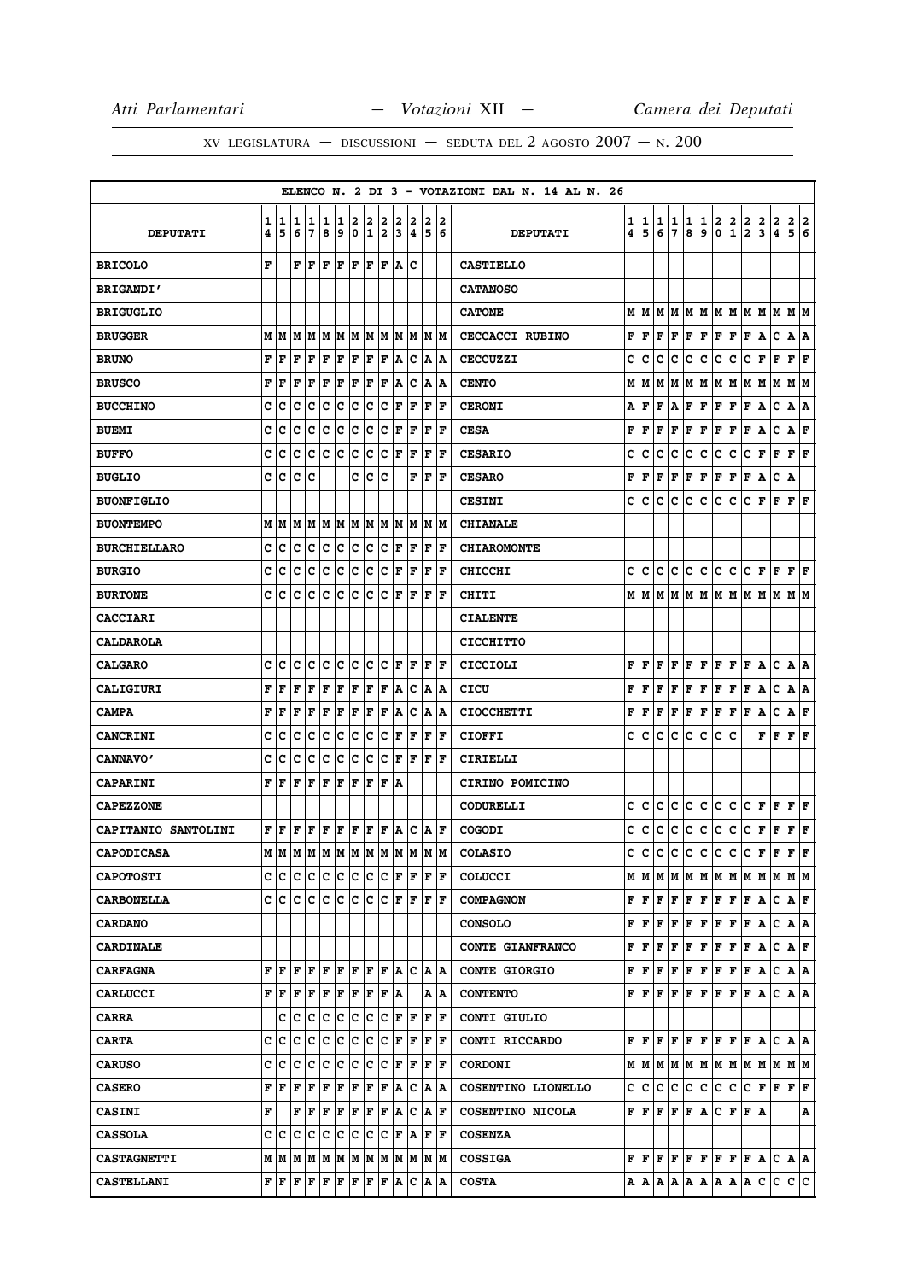# XV LEGISLATURA — DISCUSSIONI — SEDUTA DEL 2 AGOSTO  $2007 - N. 200$

|                     |   |      |                                                                                                                                                                                                    |                                                                                                                                                                                                       |    |     |       |      |             |     |                      |   |                      | ELENCO N. 2 DI 3 - VOTAZIONI DAL N. 14 AL N. 26 |   |                                       |               |               |               |        |                                      |               |                                                                         |                                                                                                                                                                                                                         |               |                           |               |
|---------------------|---|------|----------------------------------------------------------------------------------------------------------------------------------------------------------------------------------------------------|-------------------------------------------------------------------------------------------------------------------------------------------------------------------------------------------------------|----|-----|-------|------|-------------|-----|----------------------|---|----------------------|-------------------------------------------------|---|---------------------------------------|---------------|---------------|---------------|--------|--------------------------------------|---------------|-------------------------------------------------------------------------|-------------------------------------------------------------------------------------------------------------------------------------------------------------------------------------------------------------------------|---------------|---------------------------|---------------|
|                     | 1 | 1    | 11                                                                                                                                                                                                 | 1                                                                                                                                                                                                     | 1  | 1   | 2     | 2    | 2           | 2   | 2                    | 2 | 2                    |                                                 | 1 |                                       |               |               |               |        |                                      |               |                                                                         |                                                                                                                                                                                                                         |               |                           |               |
| <b>DEPUTATI</b>     | 4 | 5    | 6                                                                                                                                                                                                  | 7                                                                                                                                                                                                     | 8  | 9   | 0     | 1    | 2           | 3   | 14                   | 5 | 6                    | <b>DEPUTATI</b>                                 | 4 | $\begin{array}{c} 1 \\ 5 \end{array}$ | $\frac{1}{6}$ | $\frac{1}{7}$ | $\frac{1}{8}$ | 1<br>9 | $\begin{matrix} 2 \\ 0 \end{matrix}$ | $\frac{2}{1}$ | $\frac{2}{2}$                                                           | $\frac{2}{3}$                                                                                                                                                                                                           | $\frac{2}{4}$ | $\frac{2}{5}$             | $\frac{2}{6}$ |
| <b>BRICOLO</b>      | F |      | F                                                                                                                                                                                                  | lF.                                                                                                                                                                                                   | F  | F   | F     | F    | F           | ۱A. | Ιc                   |   |                      | <b>CASTIELLO</b>                                |   |                                       |               |               |               |        |                                      |               |                                                                         |                                                                                                                                                                                                                         |               |                           |               |
| <b>BRIGANDI'</b>    |   |      |                                                                                                                                                                                                    |                                                                                                                                                                                                       |    |     |       |      |             |     |                      |   |                      | <b>CATANOSO</b>                                 |   |                                       |               |               |               |        |                                      |               |                                                                         |                                                                                                                                                                                                                         |               |                           |               |
| <b>BRIGUGLIO</b>    |   |      |                                                                                                                                                                                                    |                                                                                                                                                                                                       |    |     |       |      |             |     |                      |   |                      | <b>CATONE</b>                                   |   | MIM                                   | M             | M             |               |        |                                      |               |                                                                         | M  M  M  M  M  M  M  M  M                                                                                                                                                                                               |               |                           |               |
| <b>BRUGGER</b>      |   |      | $M$   $M$   $M$   $M$   $M$   $M$   $M$   $M$   $M$   $M$   $M$   $M$                                                                                                                              |                                                                                                                                                                                                       |    |     |       |      |             |     |                      |   |                      | <b>CECCACCI RUBINO</b>                          | F | F                                     | F             | F             | F             | F      | F                                    | F             | Г                                                                       | Α                                                                                                                                                                                                                       | c             | A   A                     |               |
| <b>BRUNO</b>        | F | l F  | F                                                                                                                                                                                                  | F                                                                                                                                                                                                     | F  | F   | F     | F    | F           | A   | Iс                   |   | A  A                 | <b>CECCUZZI</b>                                 | c | c                                     | c             | с             | с             | c      | с                                    | с             | с                                                                       | F                                                                                                                                                                                                                       | F             | ${\bf F} \,   \, {\bf F}$ |               |
| <b>BRUSCO</b>       | F | F    | F                                                                                                                                                                                                  | F                                                                                                                                                                                                     | F  | F   | F     | F    | F           | A   | Iс                   |   | A  A                 | <b>CENTO</b>                                    | М | M                                     | м             | М             | M             | M      | M                                    | M             |                                                                         | M   M   M                                                                                                                                                                                                               |               | M M                       |               |
| <b>BUCCHINO</b>     | c | c    | c                                                                                                                                                                                                  | c                                                                                                                                                                                                     | Ιc | c   | c     | c    | c           | F   | F                    | F | F                    | <b>CERONI</b>                                   | А | F                                     | F             | Α             | F             | F F    |                                      | F F           |                                                                         | A                                                                                                                                                                                                                       | c             | A A                       |               |
| <b>BUEMI</b>        | c | с    | c                                                                                                                                                                                                  | c                                                                                                                                                                                                     | c  | c   | c     | Iс   | Iс          | F   | F                    | F | lF                   | <b>CESA</b>                                     | F | F                                     | F             | F             | F             | F      | Г                                    | F             | F                                                                       | Α                                                                                                                                                                                                                       | с             | AF                        |               |
| <b>BUFFO</b>        | c | c    | Ιc                                                                                                                                                                                                 | c                                                                                                                                                                                                     | c  | ∣c  | c     | c    | c           | F   | F                    | F | ١F                   | <b>CESARIO</b>                                  | с | c                                     | с             | с             | c             | c      | c                                    | c             | c                                                                       | F F                                                                                                                                                                                                                     |               | $ {\bf F}  {\bf F} $      |               |
| <b>BUGLIO</b>       | c | ١c   | Ιc                                                                                                                                                                                                 | Ιc                                                                                                                                                                                                    |    |     | c     | Ιc   | Ιc          |     | F                    | F | ١F                   | <b>CESARO</b>                                   | F | F                                     | F             | F             | F             | F      | $\mathbf{F}$                         | F             | F                                                                       | A                                                                                                                                                                                                                       | с             | ١A                        |               |
| <b>BUONFIGLIO</b>   |   |      |                                                                                                                                                                                                    |                                                                                                                                                                                                       |    |     |       |      |             |     |                      |   |                      | <b>CESINI</b>                                   | с | с                                     | с             | с             | с             | с      | lc.                                  | c             | с                                                                       | F                                                                                                                                                                                                                       | F             | ${\bf F}$ ${\bf F}$       |               |
| <b>BUONTEMPO</b>    |   | MM   | lм                                                                                                                                                                                                 |                                                                                                                                                                                                       | MM |     |       |      | MMMMM       |     | M M                  |   | M  M                 | <b>CHIANALE</b>                                 |   |                                       |               |               |               |        |                                      |               |                                                                         |                                                                                                                                                                                                                         |               |                           |               |
| <b>BURCHIELLARO</b> | c | ∣c   | c                                                                                                                                                                                                  | c c                                                                                                                                                                                                   |    | c   | ∣c    | c c  |             | F   | F                    | F | ١F                   | <b>CHIAROMONTE</b>                              |   |                                       |               |               |               |        |                                      |               |                                                                         |                                                                                                                                                                                                                         |               |                           |               |
| <b>BURGIO</b>       | c | Ιc   | Iс                                                                                                                                                                                                 | Ιc                                                                                                                                                                                                    | Ιc | c   | c     | c    | Iс          | F   | F                    | F | ١F                   | <b>CHICCHI</b>                                  | c | с                                     | с             | c             | c             | с      | c.                                   | c             |                                                                         | $ {\bf C}\, {\bf F}\, {\bf F}\, {\bf F}\, {\bf F} $                                                                                                                                                                     |               |                           |               |
| <b>BURTONE</b>      | c | ١c   | Iс                                                                                                                                                                                                 | Iс                                                                                                                                                                                                    | Ιc | Iс  | Iс    | Ιc   | Iс          | ΙF  | F                    | F | lF                   | <b>CHITI</b>                                    |   | MIM                                   |               |               |               |        |                                      |               |                                                                         | MMMMMMMMMMMMM                                                                                                                                                                                                           |               |                           |               |
| <b>CACCIARI</b>     |   |      |                                                                                                                                                                                                    |                                                                                                                                                                                                       |    |     |       |      |             |     |                      |   |                      | <b>CIALENTE</b>                                 |   |                                       |               |               |               |        |                                      |               |                                                                         |                                                                                                                                                                                                                         |               |                           |               |
| <b>CALDAROLA</b>    |   |      |                                                                                                                                                                                                    |                                                                                                                                                                                                       |    |     |       |      |             |     |                      |   |                      | <b>CICCHITTO</b>                                |   |                                       |               |               |               |        |                                      |               |                                                                         |                                                                                                                                                                                                                         |               |                           |               |
| <b>CALGARO</b>      | с | c    | Iс                                                                                                                                                                                                 | IC IC                                                                                                                                                                                                 |    | c c |       |      | C C F F F F |     |                      |   |                      | <b>CICCIOLI</b>                                 | F | F                                     | F             | F             | F             |        | $\mathbf{F} \parallel \mathbf{F}$    | F F           |                                                                         | A                                                                                                                                                                                                                       |               | C  A A                    |               |
| <b>CALIGIURI</b>    | F | l F  | F                                                                                                                                                                                                  | F                                                                                                                                                                                                     | F  | F   | F     | F    | F           | A   | Iс                   |   | A  A                 | CICU                                            | F | F                                     | F             | F             | Г             |        | F F F F                              |               |                                                                         | A                                                                                                                                                                                                                       | c             | A   A                     |               |
| <b>CAMPA</b>        | F | F    | F                                                                                                                                                                                                  | F                                                                                                                                                                                                     | F  | F   | F     | F    | F           | A   | Iс                   |   | A  A                 | <b>CIOCCHETTI</b>                               | F | F                                     | F             | F             | F             |        |                                      |               | F F F F A                                                               |                                                                                                                                                                                                                         | c             | AF                        |               |
| <b>CANCRINI</b>     | c | c    | Ιc                                                                                                                                                                                                 | Iс                                                                                                                                                                                                    | Iс | c   | ΙC    | Iс   | Iс          | F   | F                    | F | ١F                   | <b>CIOFFI</b>                                   | c | c                                     | с             | с             | с             | c      | c                                    | с             |                                                                         | F.                                                                                                                                                                                                                      | F             | ${\bf F} \,   \, {\bf F}$ |               |
| <b>CANNAVO'</b>     | c | с    | c                                                                                                                                                                                                  | c                                                                                                                                                                                                     | Ιc | Ιc  | Iс    | Iс   | Iс          | lF. | F                    | F | lF                   | CIRIELLI                                        |   |                                       |               |               |               |        |                                      |               |                                                                         |                                                                                                                                                                                                                         |               |                           |               |
| <b>CAPARINI</b>     | F | F    | F                                                                                                                                                                                                  | F                                                                                                                                                                                                     | F  | F   | F     | F    | F A         |     |                      |   |                      | CIRINO POMICINO                                 |   |                                       |               |               |               |        |                                      |               |                                                                         |                                                                                                                                                                                                                         |               |                           |               |
| <b>CAPEZZONE</b>    |   |      |                                                                                                                                                                                                    |                                                                                                                                                                                                       |    |     |       |      |             |     |                      |   |                      | <b>CODURELLI</b>                                | с | c                                     | с             | с             | с             | с      | c                                    | c             |                                                                         | C F F                                                                                                                                                                                                                   |               | F F                       |               |
| CAPITANIO SANTOLINI |   | F F  |                                                                                                                                                                                                    | $\mathbf{F} \mathbf{F} \mathbf{F} \mathbf{F} \mathbf{F} \mathbf{F} \mathbf{F} \mathbf{F} \mathbf{A} \mathbf{C} \mathbf{A} \mathbf{F}$                                                                 |    |     |       |      |             |     |                      |   |                      | COGODI                                          | c | с                                     | c             | c             | c             | с      | c                                    | c             | c                                                                       | F                                                                                                                                                                                                                       | F             | F F                       |               |
| <b>CAPODICASA</b>   |   | MM   |                                                                                                                                                                                                    | м м м м м м м м м м м                                                                                                                                                                                 |    |     |       |      |             |     |                      |   |                      | <b>COLASIO</b>                                  | c | c                                     | c             | c             | c.            | c      | c c                                  |               |                                                                         | C F F                                                                                                                                                                                                                   |               | F F                       |               |
| <b>CAPOTOSTI</b>    |   |      | $C  C   C   C   C   C   C   F   F $                                                                                                                                                                |                                                                                                                                                                                                       |    |     |       |      |             |     |                      |   | F  F                 | <b>COLUCCI</b>                                  |   |                                       |               |               |               |        |                                      |               |                                                                         |                                                                                                                                                                                                                         |               |                           |               |
| <b>CARBONELLA</b>   |   |      |                                                                                                                                                                                                    |                                                                                                                                                                                                       |    |     |       |      |             |     |                      |   |                      | <b>COMPAGNON</b>                                |   | ${\bf F} \parallel {\bf F} \parallel$ | F             |               |               |        |                                      |               | F   F   F   F   F   A                                                   |                                                                                                                                                                                                                         |               | CLAF                      |               |
| <b>CARDANO</b>      |   |      |                                                                                                                                                                                                    |                                                                                                                                                                                                       |    |     |       |      |             |     |                      |   |                      | <b>CONSOLO</b>                                  | F | F                                     | F             | F             | F             | F      | F                                    | F             | F                                                                       | Α                                                                                                                                                                                                                       | c             | A   A                     |               |
| <b>CARDINALE</b>    |   |      |                                                                                                                                                                                                    |                                                                                                                                                                                                       |    |     |       |      |             |     |                      |   |                      | CONTE GIANFRANCO                                | F | F                                     | F             | F             | Г             |        |                                      |               | F F F F A                                                               |                                                                                                                                                                                                                         |               | C A F                     |               |
| <b>CARFAGNA</b>     |   | FF   | F                                                                                                                                                                                                  | FF                                                                                                                                                                                                    |    | F F |       | F  F |             |     | IA IC                |   | A  A                 | <b>CONTE GIORGIO</b>                            | F | F                                     | F             | F             | F             |        |                                      |               | F F F F A                                                               |                                                                                                                                                                                                                         | c             | A   A                     |               |
| <b>CARLUCCI</b>     |   |      | $\mathbf{F} \left  \mathbf{F} \right. \left  \mathbf{F} \right. \left  \mathbf{F} \right. \left  \mathbf{F} \right. \left  \mathbf{F} \right. \left  \mathbf{F} \right. \left  \mathbf{F} \right.$ |                                                                                                                                                                                                       |    |     |       |      | F F A       |     |                      |   | A   A                | <b>CONTENTO</b>                                 |   | ${\tt F}\, {\tt F}\, $                |               |               |               |        |                                      |               | $\bf{F}$ $\bf{F}$ $\bf{F}$ $\bf{F}$ $\bf{F}$ $\bf{F}$ $\bf{F}$ $\bf{A}$ |                                                                                                                                                                                                                         |               | C A A                     |               |
| <b>CARRA</b>        |   | с    | Ιc                                                                                                                                                                                                 | Ιc                                                                                                                                                                                                    | c  | c   | ∣c    | c    | Iс          |     | F  F                 |   | F   F                | CONTI GIULIO                                    |   |                                       |               |               |               |        |                                      |               |                                                                         |                                                                                                                                                                                                                         |               |                           |               |
| <b>CARTA</b>        |   | c  c | lc                                                                                                                                                                                                 | lc.                                                                                                                                                                                                   | c  | c   | c     | lc.  | Iс          |     | $ {\bf F}  {\bf F} $ |   | F  F                 | CONTI RICCARDO                                  |   | FF                                    | $\mathbf{F}$  |               |               |        |                                      |               | F F F F F F A                                                           |                                                                                                                                                                                                                         |               | $ C $ a $ A $             |               |
| <b>CARUSO</b>       |   | c c  | Ιc                                                                                                                                                                                                 | Ιc                                                                                                                                                                                                    | Ιc | lc. | Iс    | lc.  | Iс          |     | F  F                 |   | $ {\bf F}  {\bf F} $ | <b>CORDONI</b>                                  |   |                                       |               |               |               |        |                                      |               |                                                                         | $M$   $M$   $M$   $M$   $M$   $M$   $M$   $M$   $M$   $M$   $M$   $M$   $M$                                                                                                                                             |               |                           |               |
| <b>CASERO</b>       | F | ١F   | F                                                                                                                                                                                                  | F                                                                                                                                                                                                     | F  | F   | F     | F    | F           | A   | Iс                   |   | A  A                 | COSENTINO LIONELLO                              | c | с                                     | c             | c             | с             | c      | c                                    | c             |                                                                         | $ {\tt C}\, {\tt F}\, {\tt F}\, {\tt F}\, {\tt F}\, $                                                                                                                                                                   |               |                           |               |
| <b>CASINI</b>       | F |      |                                                                                                                                                                                                    | $\mathbf{F} \left  \mathbf{F} \right  \mathbf{F} \left  \mathbf{F} \right  \mathbf{F} \left  \mathbf{F} \right  \mathbf{F} \left  \mathbf{A} \right  \mathbf{C} \left  \mathbf{A} \right  \mathbf{F}$ |    |     |       |      |             |     |                      |   |                      | COSENTINO NICOLA                                |   | ${\tt F}\, {\tt F}\, $                |               |               |               |        |                                      |               | F F F A C F F A                                                         |                                                                                                                                                                                                                         |               |                           | Α             |
| <b>CASSOLA</b>      | c | ΙC   | Ιc                                                                                                                                                                                                 | Iс                                                                                                                                                                                                    | Ιc | c   | ∣c    | c    | lC.         |     | F   A                |   | $ {\bf F}  {\bf F} $ | <b>COSENZA</b>                                  |   |                                       |               |               |               |        |                                      |               |                                                                         |                                                                                                                                                                                                                         |               |                           |               |
| <b>CASTAGNETTI</b>  |   |      | $M$   $M$   $M$   $M$   $M$   $M$   $M$   $M$   $M$   $M$   $M$   $M$                                                                                                                              |                                                                                                                                                                                                       |    |     |       |      |             |     |                      |   |                      | <b>COSSIGA</b>                                  |   |                                       |               |               |               |        |                                      |               |                                                                         | $\mathbf{F} \left  \mathbf{F} \left  \mathbf{F} \left  \mathbf{F} \left  \mathbf{F} \left  \mathbf{F} \left  \mathbf{F} \left  \mathbf{F} \left  \mathbf{F} \right. \right  \mathbf{A} \right. \right. \right. \right $ |               | C A A                     |               |
| <b>CASTELLANI</b>   |   |      | $\mathbf{F} \,   \, \mathbf{F} \,   \, \mathbf{F} \,   \, \mathbf{F} \,   \, \mathbf{F} \,   \, \mathbf{F}$                                                                                        |                                                                                                                                                                                                       |    |     | F F F |      |             |     |                      |   | A C A A              | <b>COSTA</b>                                    |   |                                       |               |               |               |        |                                      |               |                                                                         | A  A  A  A  A  A  A  A  A  C  C                                                                                                                                                                                         |               | c c                       |               |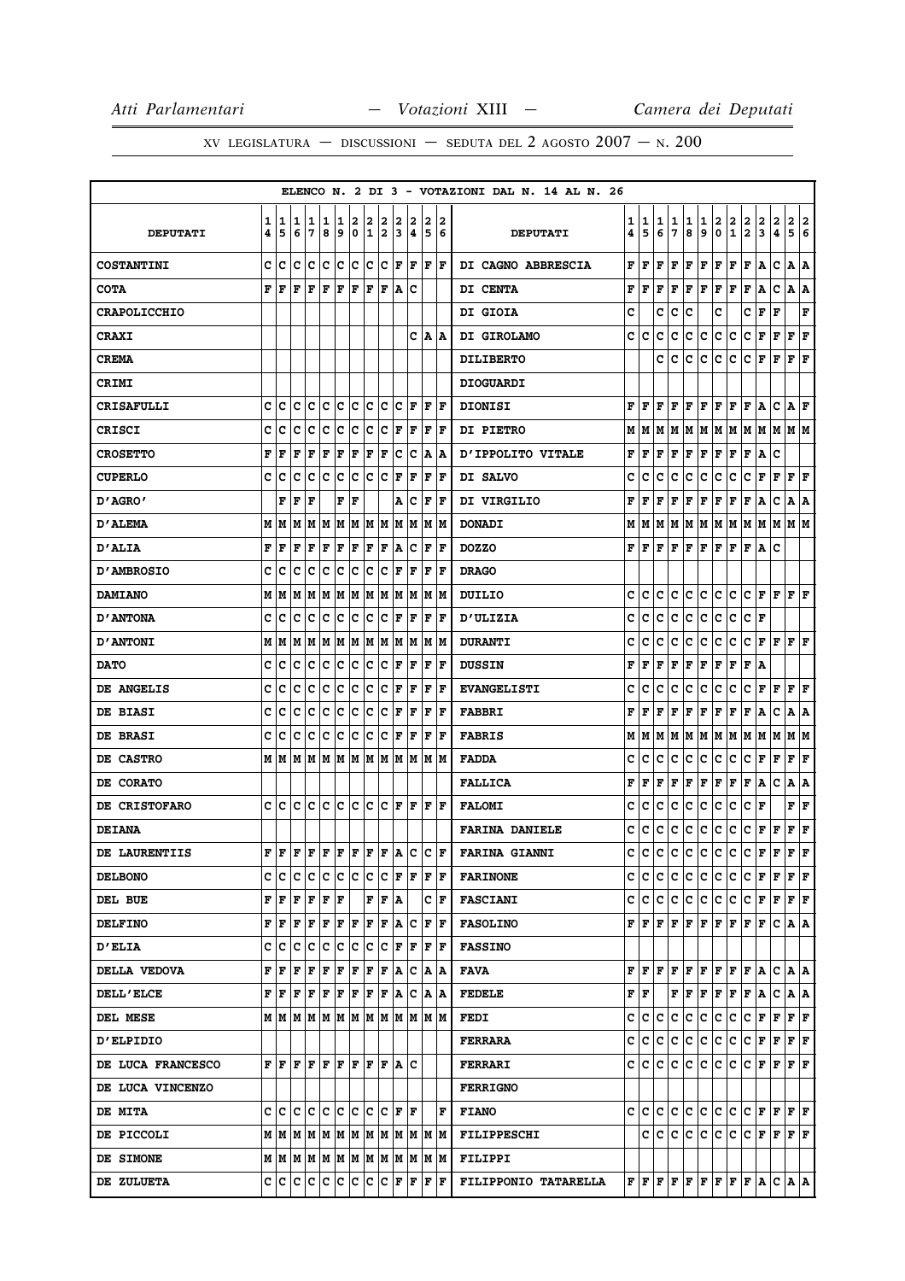|                     |        |        |        |        |        |        |                  |        |                                                                                                                                                                                                                               |        |                      |        |                      | ELENCO N. 2 DI 3 - VOTAZIONI DAL N. 14 AL N. 26 |                        |        |        |        |        |              |         |               |                                                                                                                                                                                                                                 |               |               |                           |                       |
|---------------------|--------|--------|--------|--------|--------|--------|------------------|--------|-------------------------------------------------------------------------------------------------------------------------------------------------------------------------------------------------------------------------------|--------|----------------------|--------|----------------------|-------------------------------------------------|------------------------|--------|--------|--------|--------|--------------|---------|---------------|---------------------------------------------------------------------------------------------------------------------------------------------------------------------------------------------------------------------------------|---------------|---------------|---------------------------|-----------------------|
| <b>DEPUTATI</b>     | 1<br>4 | 1<br>5 | 1<br>6 | 1<br>7 | 1<br>8 | 1<br>9 | 2<br>$\mathbf 0$ | 2<br>1 | 2<br>2                                                                                                                                                                                                                        | 2<br>3 | 2<br>4               | 2<br>5 | 2<br>6               | <b>DEPUTATI</b>                                 | 1<br>4                 | 1<br>5 | 1<br>6 | 1<br>7 | 1<br>8 | 1<br>9       | 2<br>۱o | $\frac{2}{1}$ | $\frac{2}{2}$                                                                                                                                                                                                                   | $\frac{2}{3}$ | $\frac{2}{4}$ | 2<br>5                    | 2<br>$\boldsymbol{6}$ |
| <b>COSTANTINI</b>   | C      | с      | lc.    | c      | c      | lc.    | ∣c               | lc.    | ∣c                                                                                                                                                                                                                            | F      | ΙF                   |        | F  F                 | DI CAGNO ABBRESCIA                              | F                      | F      | F      | F      | F      | $\mathbf F$  | F       | F             | F                                                                                                                                                                                                                               | ١A            | c             | A                         | ١A                    |
| <b>COTA</b>         | F      | F      | F      | F      | F      | F      | F                | F      | F                                                                                                                                                                                                                             | A      | Ιc                   |        |                      | DI CENTA                                        | F                      | F      | F      | F      | F      | F            | F       | F             | F                                                                                                                                                                                                                               | A             | c             | Α                         | ١A                    |
| <b>CRAPOLICCHIO</b> |        |        |        |        |        |        |                  |        |                                                                                                                                                                                                                               |        |                      |        |                      | DI GIOIA                                        | c                      |        | c      | c      | c      |              | c       |               | c                                                                                                                                                                                                                               | F             | F             |                           | F                     |
| <b>CRAXI</b>        |        |        |        |        |        |        |                  |        |                                                                                                                                                                                                                               |        |                      |        | C A A                | DI GIROLAMO                                     | c                      | c      | c      | c      | c      | c            | c.      | ∣c            | c                                                                                                                                                                                                                               | F             | $\mathbf F$   | F                         | F                     |
| <b>CREMA</b>        |        |        |        |        |        |        |                  |        |                                                                                                                                                                                                                               |        |                      |        |                      | <b>DILIBERTO</b>                                |                        |        | c      | c      | c      | с            | c       | c             | c                                                                                                                                                                                                                               | F             | F             | F                         | F                     |
| <b>CRIMI</b>        |        |        |        |        |        |        |                  |        |                                                                                                                                                                                                                               |        |                      |        |                      | <b>DIOGUARDI</b>                                |                        |        |        |        |        |              |         |               |                                                                                                                                                                                                                                 |               |               |                           |                       |
| <b>CRISAFULLI</b>   | c      | c      | c      | c      | c      | c      | c                | c      | c                                                                                                                                                                                                                             | c      | F                    | F      | F                    | <b>DIONISI</b>                                  | F                      | F      | F      | F      | F      | $\mathbf F$  | F       | F             | F                                                                                                                                                                                                                               | A             | $\mathbf C$   | $\mathbf{A} \mathbf{F}$   |                       |
| <b>CRISCI</b>       | C      | c      | c      | c      | c      | c      | c                | c      | c                                                                                                                                                                                                                             | F      | F                    | F      | ΙF                   | <b>DI PIETRO</b>                                | М                      | M      | М      | M      | M      | M            | M       | M             | M                                                                                                                                                                                                                               | M             | lм            | M M                       |                       |
| <b>CROSETTO</b>     | F      | F      | F      | F      | F      | F      | F                | F      | F                                                                                                                                                                                                                             | c      | Iс                   |        | A  A                 | <b>D'IPPOLITO VITALE</b>                        | F                      | F      | F      | F      | F      | Г            | F       | Г             | F                                                                                                                                                                                                                               | A             | c             |                           |                       |
| <b>CUPERLO</b>      | c      | IС     | c      | с      | c      | c      | с                | Ιc     | c                                                                                                                                                                                                                             | F      | F                    | F      | F                    | DI SALVO                                        | c                      | c      | c      | c      | c      | c            | c       | c             | с                                                                                                                                                                                                                               | F             | F             | F                         | F                     |
| D'AGRO'             |        | F      | F      | F      |        | F      | F                |        |                                                                                                                                                                                                                               |        | A C                  |        | $ {\bf F}  {\bf F} $ | DI VIRGILIO                                     | F                      | F      | F      | F      | F      | Г            | F       | Г             | F                                                                                                                                                                                                                               | A             | c             | A                         | A                     |
| D'ALEMA             | M      | M      | M      | M      | M      | M      | M                | M M    |                                                                                                                                                                                                                               | M      | M                    | M      | lМ                   | <b>DONADI</b>                                   | М                      | М      | M      | М      | M      | M            | M       | M             | M                                                                                                                                                                                                                               | M             | M             | M  M                      |                       |
| <b>D'ALIA</b>       | F      | F      | F      | F      | F      | F      | F                | F      | F                                                                                                                                                                                                                             |        | A   C                | F      | ١F                   | <b>DOZZO</b>                                    | F                      | F      | F      | F      | F      | F            | F       | F             | F                                                                                                                                                                                                                               | A             | с             |                           |                       |
| <b>D'AMBROSIO</b>   | c      | c      | C      | c      | C      | c      | c                | c      | c                                                                                                                                                                                                                             | F      | F                    | F      | F                    | <b>DRAGO</b>                                    |                        |        |        |        |        |              |         |               |                                                                                                                                                                                                                                 |               |               |                           |                       |
| <b>DAMIANO</b>      | М      | M      | M      | M      | M      | M      | M                | M  M   |                                                                                                                                                                                                                               |        | M M                  |        | M  M                 | DUILIO                                          | c                      | c      | C      | c      | c      | c            | lc.     | c             | c                                                                                                                                                                                                                               | F             | F             | F                         | F                     |
| <b>D'ANTONA</b>     | c      | c      | c      | с      | c      | c      | c                | Iс     | Iс                                                                                                                                                                                                                            | F      | F                    | F      | F                    | <b>D'ULIZIA</b>                                 | c                      | c      | c      | c      | c      | с            | IС      | c             | c                                                                                                                                                                                                                               | F             |               |                           |                       |
| <b>D'ANTONI</b>     | М      | M      | M      | M      | M      |        | M  M             | M  M   |                                                                                                                                                                                                                               |        | M M                  |        | M M                  | <b>DURANTI</b>                                  | c                      | c      | c      | c      | c      | c            | c       | c             | c                                                                                                                                                                                                                               | F             | F             | F                         | F                     |
| <b>DATO</b>         | c      | c      | Iс     | с      | c      | IC.    | Iс               | c      | ∣c                                                                                                                                                                                                                            | F      | F                    | F      | ١F                   | <b>DUSSIN</b>                                   | F                      | F      | F      | F      | F      | F            | F       | Г             | F                                                                                                                                                                                                                               | ١A            |               |                           |                       |
| DE ANGELIS          | c      | c      | c      | c      | c      | с      | c                | c      | c                                                                                                                                                                                                                             | F      | F                    | F      | F                    | <b>EVANGELISTI</b>                              | c                      | c      | c      | c      | c      | c            | c       | c             | c                                                                                                                                                                                                                               | F             | F             | F                         | F                     |
| DE BIASI            | c      | c      | с      | c      | c      | c      | c                | c      | c                                                                                                                                                                                                                             | F      | F                    | F      | F                    | <b>FABBRI</b>                                   | F                      | F      | F      | F      | г      | F            | F       | F             | $\mathbf{F}$                                                                                                                                                                                                                    | A             | c             | A                         | A                     |
| <b>DE BRASI</b>     | c      | c      | C      | c      | c      | c      | c                | c      | c                                                                                                                                                                                                                             | F      | F                    | F      | F                    | <b>FABRIS</b>                                   | M                      | М      | M      | М      | M      | M            | M       | M             | M                                                                                                                                                                                                                               | M             | M             | M  M                      |                       |
| DE CASTRO           |        | м∣м    | lМ     | M      |        |        |                  |        | M  M  M  M  M  M  M  M  M                                                                                                                                                                                                     |        |                      |        |                      | <b>FADDA</b>                                    | c                      | c      | c      | c      | c      | c            | c       | c             | c                                                                                                                                                                                                                               | F             | F             | F                         | F                     |
| DE CORATO           |        |        |        |        |        |        |                  |        |                                                                                                                                                                                                                               |        |                      |        |                      | <b>FALLICA</b>                                  | F                      | F      | F      | Г      | F      | F            | F       | F             | F                                                                                                                                                                                                                               | A             | c             | A                         | A                     |
| DE CRISTOFARO       | c      | ١c     | lc.    | Iс     | Iс     | lc.    | Iс               | Ιc     | <b>c</b>                                                                                                                                                                                                                      |        | $ {\bf F}  {\bf F} $ |        | F  F                 | <b>FALOMI</b>                                   | c                      | c      | c      | c      | c      | c            | c       | c             | c                                                                                                                                                                                                                               | F             |               | F                         | F                     |
| <b>DEIANA</b>       |        |        |        |        |        |        |                  |        |                                                                                                                                                                                                                               |        |                      |        |                      | <b>FARINA DANIELE</b>                           | с                      | с      | c      | c      | c      | C            | c       | c             | c                                                                                                                                                                                                                               | F             | F             | F                         | F                     |
| DE LAURENTIIS       |        | F F    | lF.    |        |        |        |                  |        | $\left  \mathbf{F} \right  \mathbf{F} \left  \mathbf{F} \right  \mathbf{F} \left  \mathbf{F} \right  \mathbf{F} \left  \mathbf{A} \right  \mathbf{C} \left  \mathbf{C} \right  \mathbf{F}$                                    |        |                      |        |                      | <b>FARINA GIANNI</b>                            | c                      | c      | c      | C      | c      | $\mathtt{C}$ | c       | c             | c                                                                                                                                                                                                                               | F             | $\mathbf F$   | F                         | F                     |
| <b>DELBONO</b>      | с      | c      | c      | c      | c      | c c    |                  | c c    |                                                                                                                                                                                                                               |        | F F                  |        | F F                  | <b>FARINONE</b>                                 | c                      | lc.    | c      | c      | c      | lc.          | c       | c             | lc.                                                                                                                                                                                                                             | F             | F             | F F                       |                       |
| DEL BUE             |        | F F    | F      | F      | F F    |        |                  |        | F F A                                                                                                                                                                                                                         |        |                      |        | C F                  | <b>FASCIANI</b>                                 | c                      | lC.    | c      | c      | c      | lc.          | c c     |               | C F F F F                                                                                                                                                                                                                       |               |               |                           |                       |
| <b>DELFINO</b>      | F      | F      | F      | F      | F      | F      | F                | F      | F                                                                                                                                                                                                                             | A      | IС                   |        | F  F                 | <b>FASOLINO</b>                                 |                        | FIF    | lF.    | lF.    | F      | F            | F F     |               | F F                                                                                                                                                                                                                             |               |               | C A A                     |                       |
| <b>D'ELIA</b>       | c      | ∣c     | Iс     | Iс     | c      | c      | c                | c c    |                                                                                                                                                                                                                               |        | F F                  |        | F F                  | <b>FASSINO</b>                                  |                        |        |        |        |        |              |         |               |                                                                                                                                                                                                                                 |               |               |                           |                       |
| DELLA VEDOVA        | F      | l F    | F      | F      | F      | F      | F                | F F    |                                                                                                                                                                                                                               |        | A C A A              |        |                      | <b>FAVA</b>                                     | F                      | F      | F      | F      | F      | F            | F       | F             | F                                                                                                                                                                                                                               | A             |               | $C \mathbf{A} \mathbf{A}$ |                       |
| <b>DELL'ELCE</b>    |        |        |        |        |        |        |                  |        | $\mathbf{F} \,   \, \mathbf{F} \,   \, \mathbf{F} \,   \, \mathbf{F} \,   \, \mathbf{F} \,   \, \mathbf{F} \,   \, \mathbf{F} \,   \, \mathbf{F} \,   \, \mathbf{A} \,   \, \mathbf{C} \,   \, \mathbf{A} \,   \, \mathbf{A}$ |        |                      |        |                      | <b>FEDELE</b>                                   | ${\bf F} \mid {\bf F}$ |        |        |        | FF     | F            | F F     |               | F                                                                                                                                                                                                                               | ١A            | c             | A   A                     |                       |
| DEL MESE            |        |        |        |        |        |        |                  |        | MMMMMMMMMMMMMMM                                                                                                                                                                                                               |        |                      |        |                      | <b>FEDI</b>                                     | c                      | c      | с      | с      | c      | с            | lc.     | c             | с                                                                                                                                                                                                                               | F             | F             | $ {\bf F}  {\bf F} $      |                       |
| <b>D'ELPIDIO</b>    |        |        |        |        |        |        |                  |        |                                                                                                                                                                                                                               |        |                      |        |                      | <b>FERRARA</b>                                  | c                      | lc.    | c      | lc.    | C      | c            | c c     |               | $ {\bf C}  {\bf F} $                                                                                                                                                                                                            |               | F F F         |                           |                       |
| DE LUCA FRANCESCO   |        | FF     | ١F     |        |        |        |                  |        | $F$ $F$ $F$ $F$ $F$ $F$ $A$ $C$                                                                                                                                                                                               |        |                      |        |                      | <b>FERRARI</b>                                  |                        | c  c   | c      | С      | lc.    | IC.          | c c     |               | $ {\bf C}  {\bf F} $                                                                                                                                                                                                            |               | F             | F F                       |                       |
| DE LUCA VINCENZO    |        |        |        |        |        |        |                  |        |                                                                                                                                                                                                                               |        |                      |        |                      | <b>FERRIGNO</b>                                 |                        |        |        |        |        |              |         |               |                                                                                                                                                                                                                                 |               |               |                           |                       |
| <b>DE MITA</b>      |        |        |        |        |        |        |                  |        |                                                                                                                                                                                                                               |        |                      |        | ΙF                   | <b>FIANO</b>                                    |                        |        |        |        |        |              |         |               | $C C C C C C C C C F F$                                                                                                                                                                                                         |               |               | F F                       |                       |
| DE PICCOLI          |        |        |        |        |        |        |                  |        |                                                                                                                                                                                                                               |        |                      |        |                      | FILIPPESCHI                                     |                        | c      | c      | c      | IC.    | c            | c c     |               | $ {\bf C}  {\bf F} $                                                                                                                                                                                                            |               | F             | F F                       |                       |
| DE SIMONE           |        |        |        |        |        |        |                  |        | $M$   $M$   $M$   $M$   $M$   $M$   $M$   $M$   $M$   $M$                                                                                                                                                                     |        |                      |        | M  M                 | <b>FILIPPI</b>                                  |                        |        |        |        |        |              |         |               |                                                                                                                                                                                                                                 |               |               |                           |                       |
| DE ZULUETA          | c      | ΙC     |        |        |        |        |                  |        | C C C C C C F F                                                                                                                                                                                                               |        |                      | lF.    | ١F                   | FILIPPONIO TATARELLA                            |                        |        |        |        |        |              |         |               | $\mathbf{F} \left  \mathbf{F} \right  \mathbf{F} \left  \mathbf{F} \right  \mathbf{F} \left  \mathbf{F} \right  \mathbf{F} \left  \mathbf{F} \right  \mathbf{A} \left  \mathbf{C} \right  \mathbf{A} \left  \mathbf{A} \right $ |               |               |                           |                       |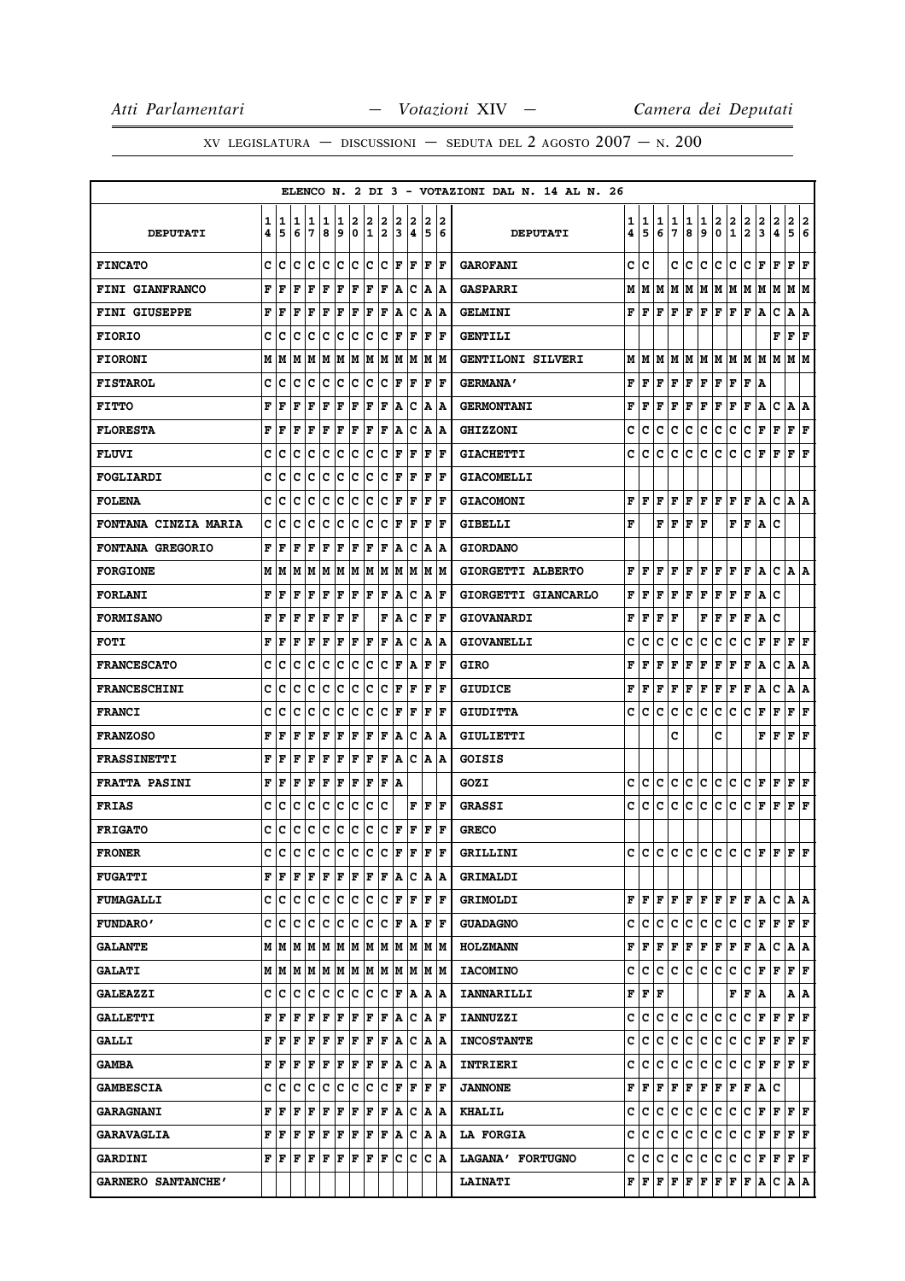XV LEGISLATURA — DISCUSSIONI — SEDUTA DEL 2 AGOSTO  $2007 - N. 200$ 

|                             |   |         |     |                  |             |     |    |              |                        |             |     |              |       | ELENCO N. 2 DI 3 - VOTAZIONI DAL N. 14 AL N. 26 |   |                           |     |    |     |     |                               |                         |                                                                                                                                                                                                                                                        |                      |       |                           |   |
|-----------------------------|---|---------|-----|------------------|-------------|-----|----|--------------|------------------------|-------------|-----|--------------|-------|-------------------------------------------------|---|---------------------------|-----|----|-----|-----|-------------------------------|-------------------------|--------------------------------------------------------------------------------------------------------------------------------------------------------------------------------------------------------------------------------------------------------|----------------------|-------|---------------------------|---|
|                             | 1 | 1       | 1   | 1                | 1           | 1   | 2  | 2            | 2                      | 2           | 2   | 2            | 2     |                                                 | 1 | 1                         | 1   | 1  | 1   | 1   | 2                             | $\frac{2}{1}$           | $\frac{2}{2}$                                                                                                                                                                                                                                          | $\frac{2}{3}$        | 2     | 2                         | 2 |
| <b>DEPUTATI</b>             | 4 | 5       | 6   | 7                | 8           | 9   | 0  | $\mathbf{1}$ | 2                      | 3           | 4   | 5            | 6     | <b>DEPUTATI</b>                                 | 4 | 5                         | 6   | 7  | 8   | 9   | 0                             |                         |                                                                                                                                                                                                                                                        |                      | 4     | 5                         | 6 |
| <b>FINCATO</b>              | c | c       | c   | c                | c           | c   | c  | c            | Iс                     | F           | F   | l F          | lF.   | <b>GAROFANI</b>                                 | c | C                         |     | c  | c   | c   | c                             | c                       | c                                                                                                                                                                                                                                                      | F                    | F     | F                         | F |
| <b>FINI GIANFRANCO</b>      | F | F       | F   | F                | F           | ΙF  | F  | ΙF           | F                      | A           | c   | A            | ١A    | <b>GASPARRI</b>                                 | М | м                         | lМ  | М  | lм  |     |                               |                         | M  M  M  M  M                                                                                                                                                                                                                                          |                      | M     | M M                       |   |
| FINI GIUSEPPE               | F | F       | F   | F                | F           | ΙF  | F  | ΙF           | F                      | Α           | c   | Α            | ١A    | <b>GELMINI</b>                                  | F | lF.                       | F   | F  | F   |     | $ {\bf F}  {\bf F}  {\bf F} $ |                         | F                                                                                                                                                                                                                                                      | A                    | c     | Α                         | Α |
| <b>FIORIO</b>               | c | c       | c   | Ιc               | c           | Ιc  | c  | Ιc           | с                      | ΙF          | F   | F            | lF.   | <b>GENTILI</b>                                  |   |                           |     |    |     |     |                               |                         |                                                                                                                                                                                                                                                        |                      | F     | F F                       |   |
| <b>FIORONI</b>              | М | M       | М   | M                | M           | M   | M  | M            | M                      | M           | M   | М            | M     | GENTILONI SILVERI                               | М | M                         | M   | IМ | M   |     |                               |                         | M  M  M  M  M                                                                                                                                                                                                                                          |                      | lМ    | M M                       |   |
| <b>FISTAROL</b>             | c | c       | c   | c                | c           | lc. | c  | c            | c                      | ΙF          | F   | F            | F     | <b>GERMANA'</b>                                 | F | lF.                       | F   | F  | F   | F F |                               |                         | F F A                                                                                                                                                                                                                                                  |                      |       |                           |   |
| <b>FITTO</b>                | F | F       | F   | F                | F           | F   | F  | F            | F                      | A           | c   | Α            | ۱A    | <b>GERMONTANI</b>                               | F | F                         | F   | F  | F   | F   | F                             | F                       | F                                                                                                                                                                                                                                                      | А                    | c     | А                         | А |
| <b>FLORESTA</b>             | F | F       | F   | F                | F           | F   | F  | F            | F                      | Α           | Ιc  | Α            | ١A    | <b>GHIZZONI</b>                                 | c | с                         | c   | с  | c   | с   | c                             | с                       | с                                                                                                                                                                                                                                                      | г                    | F     | ${\bf F} \,   \, {\bf F}$ |   |
| <b>FLUVI</b>                | C | c       | c   | c                | C           | c   | c  | c            | c                      | F           | F   | $\mathbf F$  | F     | <b>GIACHETTI</b>                                | c | c                         | c   | c  | c   | c   | c                             | c                       | c                                                                                                                                                                                                                                                      | F                    | F     | ${\bf F}$ ${\bf F}$       |   |
| FOGLIARDI                   | C | c       | c   | c                | c           | c   | c  | c            | с                      | F           | ΙF  | F            | l F   | <b>GIACOMELLI</b>                               |   |                           |     |    |     |     |                               |                         |                                                                                                                                                                                                                                                        |                      |       |                           |   |
| <b>FOLENA</b>               | c | c       | c   | c                | c           | c   | c  | c            | с                      | F           | ΙF  | F            | F     | <b>GIACOMONI</b>                                | F | lF.                       | F   | F  | lF. |     | F F F F                       |                         |                                                                                                                                                                                                                                                        | A                    | c     | IA IA                     |   |
| <b>FONTANA CINZIA MARIA</b> | c | c       | c   | c                | C           | c   | c  | c            | c                      | F           | ΙF  | F            | l F   | <b>GIBELLI</b>                                  | F |                           | F   | F  | F   | F   |                               | F                       | F                                                                                                                                                                                                                                                      | Α                    | c     |                           |   |
| FONTANA GREGORIO            | F | F       | F   | F                | F           | F   | F  | F            | F                      | A           | c   | Α            | A     | <b>GIORDANO</b>                                 |   |                           |     |    |     |     |                               |                         |                                                                                                                                                                                                                                                        |                      |       |                           |   |
| <b>FORGIONE</b>             | M | M       | М   | M                | M           | M   | M  | lМ           | M                      | M           | M   | M            | M     | GIORGETTI ALBERTO                               | F | F                         | F   | F  | F   | F   | F                             | F                       | F                                                                                                                                                                                                                                                      | Α                    | c     | A   A                     |   |
| <b>FORLANI</b>              | F | F       | F   | F                | $\mathbf F$ | F   | F  | F            | F                      | A           | c   | A            | ΙF    | GIORGETTI GIANCARLO                             | F | F                         | F   | F  | F   | F   | F                             | F                       | F                                                                                                                                                                                                                                                      | A                    | C     |                           |   |
| <b>FORMISANO</b>            | F | F       | F   | F                | $\mathbf F$ | F   | F  |              | F                      | A           | c   | $\mathbf F$  | F     | <b>GIOVANARDI</b>                               | F | F                         | F   | F  |     | F   | F                             | F                       | F                                                                                                                                                                                                                                                      | Α                    | c     |                           |   |
| <b>FOTI</b>                 | F | F       | F   | F                | F           | F   | F  | ΙF           | F                      | A           | c   | Α            | ١A    | <b>GIOVANELLI</b>                               | c | c                         | c   | c  | c   | с   | c                             | с                       | с                                                                                                                                                                                                                                                      | F                    | F     | F   F                     |   |
| <b>FRANCESCATO</b>          | c | c       | c   | Iс               | c           | Ιc  | c  | Ιc           | с                      | l F         | A   | F            | ΙF    | <b>GIRO</b>                                     | F | F                         | F   | F  | F   | F   | F                             | F                       | F                                                                                                                                                                                                                                                      | Α                    | с     | A  A                      |   |
| <b>FRANCESCHINI</b>         | C | c       | c   | c                | c           | c   | c  | c            | с                      | l F         | F   | F            | l F   | <b>GIUDICE</b>                                  | F | F                         | F   | F  | F   | F   | F                             | F                       | F                                                                                                                                                                                                                                                      | Α                    | c     | А                         | А |
| <b>FRANCI</b>               | c | c       | c   | c                | с           | c   | c  | c            | с                      | F           | F   | F            | F     | <b>GIUDITTA</b>                                 | c | с                         | c   | с  | c   | с   | c                             | с                       | с                                                                                                                                                                                                                                                      | F                    | F     | F                         | F |
| <b>FRANZOSO</b>             | F | F       | F   | F                | $\mathbf F$ | F   | F  | ΙF           | F                      | A           | c   | Α            | ١A    | GIULIETTI                                       |   |                           |     | c  |     |     | c                             |                         |                                                                                                                                                                                                                                                        | F                    | F     | F                         | F |
| <b>FRASSINETTI</b>          | F | F       | F   | F                | $\mathbf F$ | F   | F  | F            | F                      | Α           | c   | Α            | ١A    | GOISIS                                          |   |                           |     |    |     |     |                               |                         |                                                                                                                                                                                                                                                        |                      |       |                           |   |
| <b>FRATTA PASINI</b>        | F | F       | F   | F                | $\mathbf F$ | F   | F  | F            | F                      | A           |     |              |       | GOZI                                            | c | с                         | c   | с  | c   | c   | c.                            | c                       | c                                                                                                                                                                                                                                                      | F                    | F     | $\bf{F}$ $\bf{F}$         |   |
| <b>FRIAS</b>                | c | c       | c   | c                | c           | c   | c  | c            | c                      |             | F   | F            | lF.   | <b>GRASSI</b>                                   | c | c                         | с   | c  | c   | c   | c                             | c                       | C F                                                                                                                                                                                                                                                    |                      | F     | F F                       |   |
| <b>FRIGATO</b>              | c | c       | c   | c                | c           | c   | ∣c | c            | c                      | F           | F   | $\mathbf F$  | F     | <b>GRECO</b>                                    |   |                           |     |    |     |     |                               |                         |                                                                                                                                                                                                                                                        |                      |       |                           |   |
| <b>FRONER</b>               | C | Iс      | c   | Iс               | lc.         | lc. | c  | lc.          | lc.                    | F           | F   | $\mathbf{F}$ | ΙF    | GRILLINI                                        | c | c                         | c   | c  | lc. | c   | lc.                           | lc.                     | C F F                                                                                                                                                                                                                                                  |                      |       | F  F                      |   |
| <b>FUGATTI</b>              | F | F       | F   | F                | F           | F   | F  | F            | F                      | A           | Iс  |              | A   A | <b>GRIMALDI</b>                                 |   |                           |     |    |     |     |                               |                         |                                                                                                                                                                                                                                                        |                      |       |                           |   |
| <b>FUMAGALLI</b>            | c | Iс      | c   | Iс               | c           | c   | c  | c            | Iс                     | l F         | lF. | l F          | ΙF    | <b>GRIMOLDI</b>                                 |   | FIF                       | F   |    |     |     |                               |                         | F   F   F   F   F   A                                                                                                                                                                                                                                  |                      | C A A |                           |   |
| <b>FUNDARO'</b>             | c | c       | c   | c                | c           | c   | c  | c            | c                      | $\mathbf F$ | ١A  | F            | ١F    | <b>GUADAGNO</b>                                 | c | c.                        | lc. | c. | lc. |     | c c c                         |                         | C F F                                                                                                                                                                                                                                                  |                      |       | F F                       |   |
| <b>GALANTE</b>              | М | MM      |     | M  M  M  M  M  M |             |     |    |              |                        |             |     | MMMM         |       | <b>HOLZMANN</b>                                 |   |                           |     |    |     |     |                               |                         | $\mathbf{F}\, \,\mathbf{F}\, \,\mathbf{F}\, \,\mathbf{F}\, \,\mathbf{F}\, \,\mathbf{F}\, \,\mathbf{F}\, \,\mathbf{F}\, \,\mathbf{A}\, \,\mathbf{C}\, \,\mathbf{A}\, \,\mathbf{A}$                                                                      |                      |       |                           |   |
| <b>GALATI</b>               |   | м ім ім |     |                  |             |     |    |              | M  M  M  M  M  M  M  M |             |     |              | M M   | <b>IACOMINO</b>                                 | c | c                         | C   |    | c c | c c |                               | lc.                     | $ {\bf C}  {\bf F}  {\bf F} $                                                                                                                                                                                                                          |                      |       | $ {\bf F}  {\bf F} $      |   |
| <b>GALEAZZI</b>             | c | C       | c   | c                | c           | c   | c  | c            | c                      | F           | ١A  |              | A  A  | <b>IANNARILLI</b>                               |   | ${\bf F}$ $\bf F$ $\bf F$ |     |    |     |     |                               |                         | F F A                                                                                                                                                                                                                                                  |                      |       | A   A                     |   |
| <b>GALLETTI</b>             | F | F       | F   | F                | F           | F   | F  | F            | F                      | A           | c   | A            | ١F    | <b>IANNUZZI</b>                                 | c | с                         | c   | c  | c   | c   | lc.                           | c                       | c                                                                                                                                                                                                                                                      | $ {\bf F}  {\bf F} $ |       | F F                       |   |
| <b>GALLI</b>                | F | F       | F   | F                | F           | F   | F  | F            | F                      | ۱A.         | Iс  |              | A  A  | <b>INCOSTANTE</b>                               | c | с                         | c   | c  | c   |     | c c c                         |                         | C F F                                                                                                                                                                                                                                                  |                      |       | F F                       |   |
| <b>GAMBA</b>                | F | F       | F   | F                | F           | F   | F  | F            | F                      | A           | c   | A            | ۱A    | INTRIERI                                        | c | c                         | c   | c  | lc. | c   | c                             | c.                      | C F F                                                                                                                                                                                                                                                  |                      |       | F  F                      |   |
| <b>GAMBESCIA</b>            | C | c       | c   | c                | c           | c   | ١c | c            | Ιc                     | F           | F   | F            | F     | <b>JANNONE</b>                                  |   |                           |     |    |     |     |                               |                         | $\mathbf{F} \left  \mathbf{F} \right. \left  \mathbf{F} \right. \left  \mathbf{F} \right. \left  \mathbf{F} \right. \left  \mathbf{F} \right. \left  \mathbf{F} \right. \left  \mathbf{F} \right. \left  \mathbf{F} \right. \left  \mathbf{A} \right.$ |                      | Iс    |                           |   |
| <b>GARAGNANI</b>            | F | F       | F   | F                | F           | F   | F  | F            | F                      | A           | Iс  |              | A  A  | <b>KHALIL</b>                                   | c | c                         | c   | с  | С   | c c |                               | C                       | $ {\bf C}\, {\bf F}\, {\bf F}\, {\bf F}\, {\bf F} $                                                                                                                                                                                                    |                      |       |                           |   |
| <b>GARAVAGLIA</b>           | F | F       | F   | F                | F           | F   | F  | F            | F                      | A           | Iс  | A            | ١A    | <b>LA FORGIA</b>                                | c | c                         | c   | c  | c   | c   | c                             | lc.                     | C F F                                                                                                                                                                                                                                                  |                      |       | F F                       |   |
| <b>GARDINI</b>              | F | F       | l F | F                | F           | F   | F  | F            | lF.                    | lc.         | Iс  | C   A        |       | LAGANA' FORTUGNO                                | c | c c                       |     |    | c c |     |                               |                         | C C C F F F F                                                                                                                                                                                                                                          |                      |       |                           |   |
| GARNERO SANTANCHE'          |   |         |     |                  |             |     |    |              |                        |             |     |              |       | <b>LAINATI</b>                                  | F | F                         | г   | F  | F   | F   | F                             | $\mathbf{F} \mathbf{F}$ |                                                                                                                                                                                                                                                        | Α                    | c     | A   A                     |   |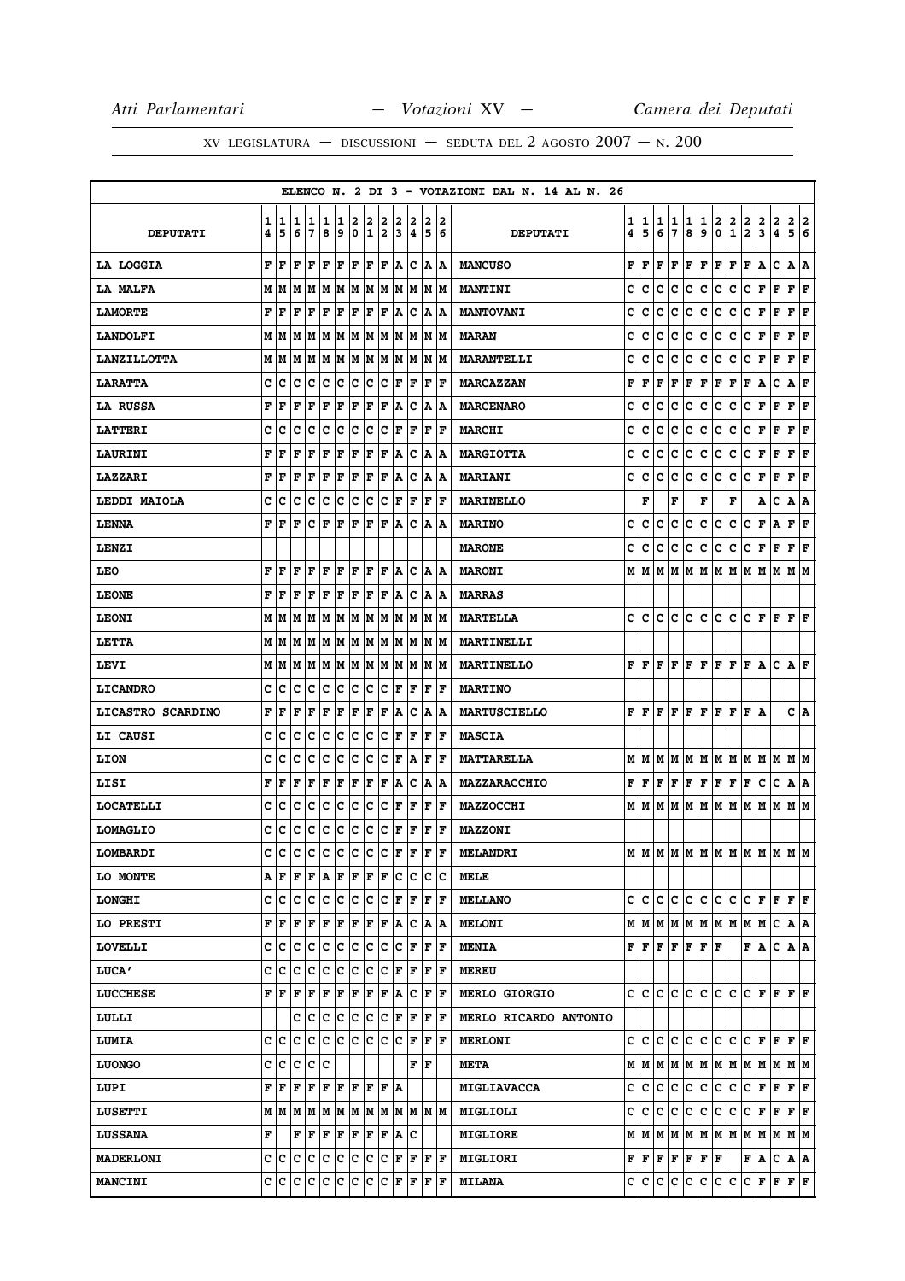|                    |     |       |     |                                                                                        |     |     |     |     |     |     |                                                                       |    |                      | ELENCO N. 2 DI 3 - VOTAZIONI DAL N. 14 AL N. 26 |   |                                                             |   |    |                      |                   |                              |                         |                                                                                                                       |                         |             |                           |   |
|--------------------|-----|-------|-----|----------------------------------------------------------------------------------------|-----|-----|-----|-----|-----|-----|-----------------------------------------------------------------------|----|----------------------|-------------------------------------------------|---|-------------------------------------------------------------|---|----|----------------------|-------------------|------------------------------|-------------------------|-----------------------------------------------------------------------------------------------------------------------|-------------------------|-------------|---------------------------|---|
|                    | 1   | 1 1   |     | 1                                                                                      | 1   | 1   | 2   | 2   | 2   | 2   | 2                                                                     | 2  | 2                    |                                                 | 1 | 1                                                           | 1 | 1  | 1                    | 1                 | 2                            | $\overline{\mathbf{2}}$ | $\overline{\mathbf{2}}$                                                                                               | $\overline{\mathbf{2}}$ | $\mathbf 2$ | $\mathbf{2}$              | 2 |
| <b>DEPUTATI</b>    | 4   | 5     | 6   | 7                                                                                      | 8   | و ا | 0   | 1   | 2   | 13  | 4                                                                     | 5  | 6                    | <b>DEPUTATI</b>                                 | 4 | 5                                                           | 6 | 7  | 8                    | 9                 | $\pmb{0}$                    | $\mathbf 1$             | $\overline{\mathbf{2}}$                                                                                               | 3                       | 4           | 5                         | 6 |
| <b>LA LOGGIA</b>   | F   | lF    | l F | FF                                                                                     |     | F F |     | F F |     |     | A C                                                                   |    | A A                  | <b>MANCUSO</b>                                  | F | F                                                           | F | F  | F                    |                   | ${\bf F}$ $\bf F$            | F                       | F A                                                                                                                   |                         | c           | A   A                     |   |
| <b>LA MALFA</b>    | M   | lМ    | M   |                                                                                        |     |     |     |     |     |     | M  M  M  M  M  M  M  M  M  M                                          |    |                      | <b>MANTINI</b>                                  | C | c                                                           | c | с  | c                    | c                 | c                            | c                       | c                                                                                                                     | F F                     |             | F F                       |   |
| <b>LAMORTE</b>     | F   | F     | F   | F                                                                                      | F   | F   | F   | F   | F   | ١A  | Iс                                                                    |    | A  A                 | <b>MANTOVANI</b>                                | c | c                                                           | c | с  | с                    | с                 | c                            | с                       | с                                                                                                                     | г                       | F           | ${\bf F} \mid {\bf F}$    |   |
| <b>LANDOLFI</b>    |     | M   M |     |                                                                                        |     |     |     |     |     |     | IM IM IM IM IM IM IM IM IM IM                                         |    |                      | <b>MARAN</b>                                    | c | c                                                           | с | с  | c                    | c                 | c                            | c                       | c                                                                                                                     | $ {\bf F}  {\bf F} $    |             | ${\bf F}$ ${\bf F}$       |   |
| <b>LANZILLOTTA</b> |     | MM    |     |                                                                                        |     |     |     |     |     |     | M M M M M M M M M M M                                                 |    |                      | <b>MARANTELLI</b>                               | c | c                                                           | c | с  | с                    | с                 | c                            | с                       | с                                                                                                                     | F                       | F           | ${\bf F}$ ${\bf F}$       |   |
| <b>LARATTA</b>     | c   | ١c    | Iс  | Ιc                                                                                     | Iс  | c c |     | c c |     |     | F F                                                                   |    | $ {\bf F}  {\bf F} $ | <b>MARCAZZAN</b>                                | F | F                                                           | F | F  | F                    |                   | ${\bf F} \,   \, {\bf F} \,$ | F                       | F                                                                                                                     | Α                       | с           | A F                       |   |
| <b>LA RUSSA</b>    | F   | F     | F   | F                                                                                      | l F | F   | F   | F   | F   | A   | Iс                                                                    |    | A  A                 | <b>MARCENARO</b>                                | c | c                                                           | c | с  | с                    | c                 | с                            | c                       | с                                                                                                                     | F                       | F           | F                         | F |
| <b>LATTERI</b>     | c   | c     | c   | c                                                                                      | c   | c   | c   | c   | c   | F   | F                                                                     | F  | F                    | <b>MARCHI</b>                                   | c | c                                                           | c | c  | c                    | c                 | c                            | c                       | c                                                                                                                     | F F                     |             | $ {\bf F}  {\bf F} $      |   |
| <b>LAURINI</b>     | F   | F     | l F | F                                                                                      | F   | F   | F   | F   | F   |     | A C                                                                   |    | A  A                 | <b>MARGIOTTA</b>                                | c | c                                                           | с | с  | c                    | с                 | lc.                          | с                       | c                                                                                                                     | F F                     |             | ${\bf F} \mid {\bf F}$    |   |
| <b>LAZZARI</b>     | F   | l F   | l F | l F                                                                                    | F   | F   | F   | F   | F   | A   | Ιc                                                                    | A  | ١A                   | <b>MARIANI</b>                                  | c | c                                                           | c | с  | c                    | c                 | lc.                          | c                       | c                                                                                                                     | F                       | F           | ${\bf F} \,   \, {\bf F}$ |   |
| LEDDI MAIOLA       | c   | c     | Ιc  | c                                                                                      | ∣c  | c   | Iс  | c   | c   | F   | F                                                                     | F  | ١F                   | <b>MARINELLO</b>                                |   | F                                                           |   | F  |                      | F                 |                              | F                       |                                                                                                                       | А                       | с           | A   A                     |   |
| LENNA              | F   | l F   | F   | c                                                                                      | ΙF  | F   | l F | F   | l F | lA. | Iс                                                                    | A  | ١A                   | <b>MARINO</b>                                   | c | c                                                           | c | с  | c                    | c                 | c                            | с                       | с                                                                                                                     | F                       | Α           | ${\bf F} \mid {\bf F}$    |   |
| LENZI              |     |       |     |                                                                                        |     |     |     |     |     |     |                                                                       |    |                      | <b>MARONE</b>                                   | c | с                                                           | с | с  | с                    | с                 | c                            | c                       | c.                                                                                                                    | F                       | F           | $\mathbf{F} \mathbf{F}$   |   |
| <b>LEO</b>         | F   | F     | l F | F                                                                                      | l F | F   | lF. | F   | lF. |     | A  C                                                                  |    | A  A                 | <b>MARONI</b>                                   | М | M                                                           | М |    |                      |                   |                              |                         | $M$   $M$   $M$   $M$   $M$   $M$   $M$                                                                               |                         |             | M M                       |   |
| <b>LEONE</b>       | F   | l F   | l F | lF.                                                                                    | F   | F   | F   | F   | F   |     | A  C                                                                  |    | A  A                 | <b>MARRAS</b>                                   |   |                                                             |   |    |                      |                   |                              |                         |                                                                                                                       |                         |             |                           |   |
| <b>LEONI</b>       | м   | lМ    | lМ  |                                                                                        |     |     |     |     |     |     | M  M  M  M  M  M  M  M  M  M                                          |    |                      | <b>MARTELLA</b>                                 | c | c                                                           | c | c  | c                    | c                 | lc.                          | C                       |                                                                                                                       | $C$ $F$ $F$             |             | $ {\bf F}  {\bf F} $      |   |
| <b>LETTA</b>       |     | MM    |     |                                                                                        |     |     |     |     |     |     | M  M  M  M  M  M  M  M  M                                             |    | IM IM                | <b>MARTINELLI</b>                               |   |                                                             |   |    |                      |                   |                              |                         |                                                                                                                       |                         |             |                           |   |
| LEVI               |     | M   M |     |                                                                                        |     |     |     |     |     |     | M  M  M  M  M  M  M  M  M  M  M                                       |    |                      | MARTINELLO                                      |   | F F .                                                       | F |    |                      |                   |                              |                         | $F$ $F$ $F$ $F$ $F$ $F$ $A$                                                                                           |                         | C A F       |                           |   |
| <b>LICANDRO</b>    | c   | с     | c   | c                                                                                      | Iс  | Ιc  | Iс  | lc. | Iс  | F   | l F                                                                   | F  | F                    | <b>MARTINO</b>                                  |   |                                                             |   |    |                      |                   |                              |                         |                                                                                                                       |                         |             |                           |   |
| LICASTRO SCARDINO  | F   | F     | F   | F                                                                                      | F   | F   | F   | F   | F   |     | A   C                                                                 |    | A  A                 | <b>MARTUSCIELLO</b>                             |   |                                                             |   |    |                      |                   |                              |                         | ${\bf F}\, \,{\bf F}\, \,{\bf F}\, \,{\bf F}\, \,{\bf F}\, \,{\bf F}\, \,{\bf F}\, \,{\bf F}\, \,{\bf F}\, \,{\bf A}$ |                         |             | C A                       |   |
| <b>LI CAUSI</b>    | c   | с     | c   | c                                                                                      | c   | c   | c   | c   | c   | F   | F                                                                     | ΙF | F                    | <b>MASCIA</b>                                   |   |                                                             |   |    |                      |                   |                              |                         |                                                                                                                       |                         |             |                           |   |
| <b>LION</b>        | C   | c     | c   | c                                                                                      | lc  | c   | c   | c   | c   | F   | A                                                                     | F  | ١F                   | <b>MATTARELLA</b>                               | М | M                                                           | М | M  |                      |                   |                              |                         | M  M  M  M  M  M  M                                                                                                   |                         |             | M M                       |   |
| LISI               | F   | F     | F   | F                                                                                      | F   | F   | F   | F   | F   | ۱A. | Iс                                                                    |    | A  A                 | MAZZARACCHIO                                    | F | F                                                           | F |    | F F                  |                   | F F F F                      |                         |                                                                                                                       | с                       | с           | A   A                     |   |
| <b>LOCATELLI</b>   | c   | ١c    | Iс  | Iс                                                                                     | Ιc  | Iс  | ΙC  | Ιc  | Iс  | F   | F                                                                     | F  | lF                   | <b>MAZZOCCHI</b>                                |   | MM                                                          | М | lм |                      |                   |                              |                         | M  M  M  M  M  M  M  M  M                                                                                             |                         |             |                           |   |
| <b>LOMAGLIO</b>    | с   | ١c    | Iс  | c                                                                                      | ∣c  | c   | c   | c c |     |     | F F                                                                   |    | F F                  | <b>MAZZONI</b>                                  |   |                                                             |   |    |                      |                   |                              |                         |                                                                                                                       |                         |             |                           |   |
| LOMBARDI           | C   | lc    | Ιc  | ١c                                                                                     | Iс  | c   | Iс  | c   | lc. | ١F  | l F                                                                   | F  | lF                   | <b>MELANDRI</b>                                 |   | MM                                                          |   |    |                      |                   |                              |                         | IM IM IM IM IM IM IM IM IM IM                                                                                         |                         |             |                           |   |
| <b>LO MONTE</b>    | A F |       | F   | F A                                                                                    |     | F   | F   | F   | F   | Iс  | Iс                                                                    | IС | c                    | <b>MELE</b>                                     |   |                                                             |   |    |                      |                   |                              |                         |                                                                                                                       |                         |             |                           |   |
| <b>LONGHI</b>      | c   | Iс    | lc  | Iс                                                                                     | c   | c   | c   | c   | c   | F   | F                                                                     | F  | F                    | <b>MELLANO</b>                                  | c | с                                                           | c | c  | c                    | c                 | c.                           | c                       |                                                                                                                       | C F F F F               |             |                           |   |
| <b>LO PRESTI</b>   | F   | l F   | l F | F                                                                                      | F   | F   | F   | F   | F   | A   | Iс                                                                    |    | A  A                 | <b>MELONI</b>                                   |   |                                                             |   |    |                      |                   |                              |                         | $M$   $M$   $M$   $M$   $M$   $M$   $M$   $M$   $M$                                                                   |                         | c           | A   A                     |   |
| LOVELLI            |     | C C   | ١c  | c                                                                                      | Iс  | c   | Iс  | c c |     | Ιc  | ΙF                                                                    | F  | ١F                   | <b>MENIA</b>                                    |   | ${\bf F} \parallel {\bf F} \parallel$                       | F |    | $ {\bf F}  {\bf F} $ | ${\bf F}$ $\bf F$ |                              |                         | F A                                                                                                                   |                         | C A A       |                           |   |
| <b>LUCA'</b>       | c   | ١c    | Iс  | Iс                                                                                     | Ιc  | c   | ΙC  | Ιc  | Iс  | F   | F                                                                     | F  | lF                   | <b>MEREU</b>                                    |   |                                                             |   |    |                      |                   |                              |                         |                                                                                                                       |                         |             |                           |   |
| <b>LUCCHESE</b>    |     | FF    | ΙF  |                                                                                        |     |     |     |     |     |     | F F F F F F A C F F                                                   |    |                      | <b>MERLO GIORGIO</b>                            |   | c  c                                                        | c | c  | c                    |                   |                              |                         |                                                                                                                       |                         |             |                           |   |
| LULLI              |     |       | с   | Ιc                                                                                     | Ιc  | Iс  | c   | Ιc  | Iс  |     | F F                                                                   | F  | ١F                   | MERLO RICARDO ANTONIO                           |   |                                                             |   |    |                      |                   |                              |                         |                                                                                                                       |                         |             |                           |   |
| <b>LUMIA</b>       | c   | Iс    | c   | с                                                                                      | c   | lc. | С   | c c |     |     | $ {\bf C}  {\bf F} $                                                  |    | $ {\bf F}  {\bf F} $ | <b>MERLONI</b>                                  |   | c c                                                         | c | c. | c.                   |                   | c c c                        |                         | C F F F F                                                                                                             |                         |             |                           |   |
| <b>LUONGO</b>      | C   | c     | lc  | c                                                                                      | Ιc  |     |     |     |     |     | F                                                                     | F  |                      | <b>META</b>                                     |   |                                                             |   |    |                      |                   |                              |                         | $M$   $M$   $M$   $M$   $M$   $M$   $M$   $M$   $M$   $M$   $M$   $M$                                                 |                         |             |                           |   |
| LUPI               | F   | l F   | F   | F                                                                                      | F   | F   | F   | F   | F   | ١A  |                                                                       |    |                      | <b>MIGLIAVACCA</b>                              | c | c                                                           | c | c  | с                    | c                 | c.                           | c                       | с                                                                                                                     | F                       | F           | ${\bf F} \mid {\bf F}$    |   |
| <b>LUSETTI</b>     |     |       |     |                                                                                        |     |     |     |     |     |     | $M$   $M$   $M$   $M$   $M$   $M$   $M$   $M$   $M$   $M$   $M$   $M$ |    |                      | MIGLIOLI                                        | c | c                                                           | с | с  | с                    | с                 | c                            | c                       | C F F F F                                                                                                             |                         |             |                           |   |
| <b>LUSSANA</b>     | F   |       |     | $\mathbf{F} \left  \mathbf{F} \right  \mathbf{F} \left  \mathbf{F} \right  \mathbf{F}$ |     |     |     | F F |     | A   | Iс                                                                    |    |                      | <b>MIGLIORE</b>                                 |   | MIM                                                         |   |    |                      |                   |                              |                         | $M$   $M$   $M$   $M$   $M$   $M$   $M$   $M$   $M$   $M$   $M$                                                       |                         |             |                           |   |
| <b>MADERLONI</b>   |     |       |     |                                                                                        |     |     |     |     |     |     | C  C  C  C  C  C  C  C  C  F  F  F  F                                 |    |                      | <b>MIGLIORI</b>                                 |   | ${\bf F}$ $\left  {\bf F} \right.$ $\left  {\bf F} \right.$ |   |    | F F                  | F F               |                              |                         | F A                                                                                                                   |                         | с           | A   A                     |   |
| <b>MANCINI</b>     | c   | IС    | lc. | c                                                                                      | c   | c   | ∣c  | c   | С   |     | F F                                                                   |    | $ {\bf F}  {\bf F} $ | <b>MILANA</b>                                   | c | c                                                           | с | с  | с                    | с                 | c.                           | c                       | C F F                                                                                                                 |                         |             | F F                       |   |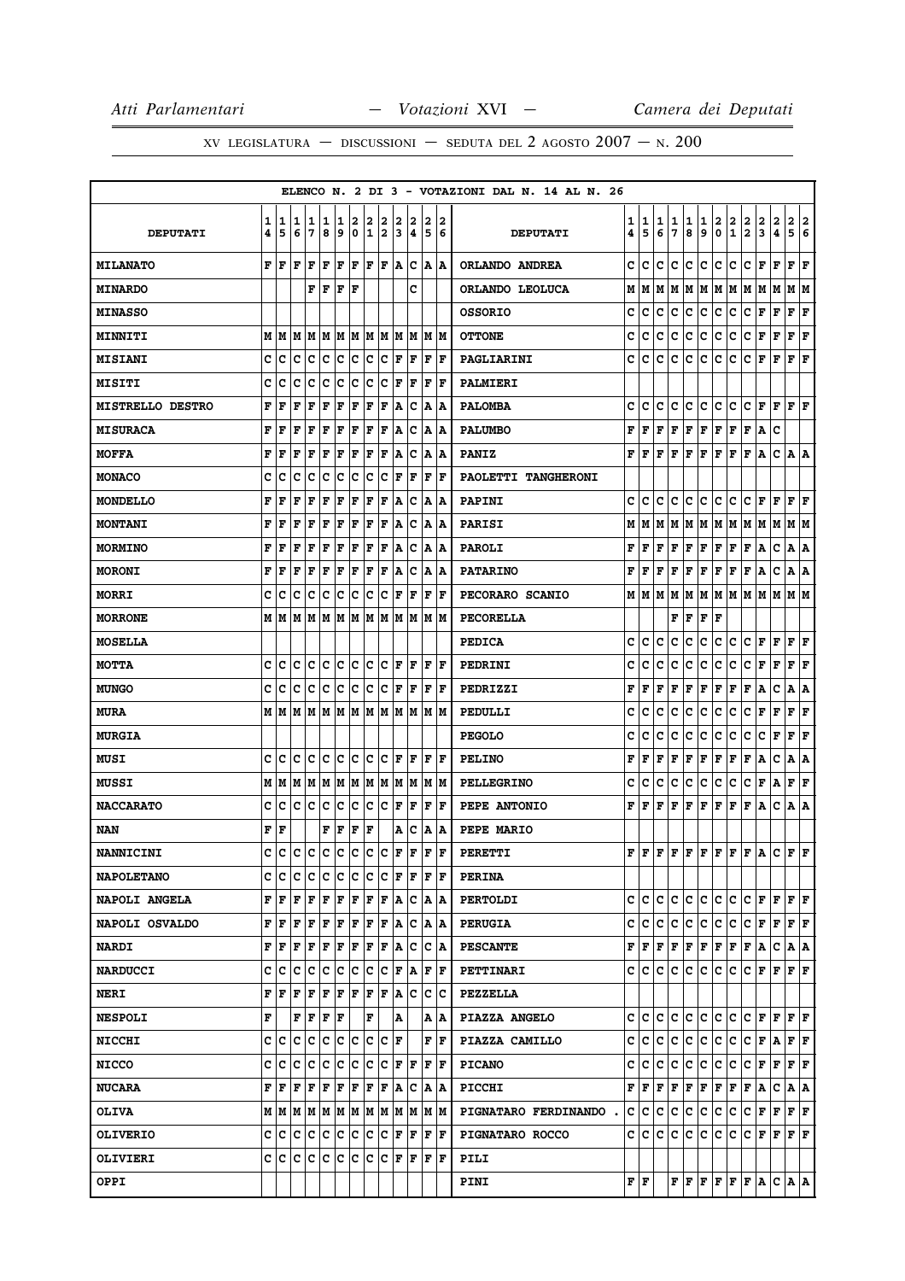|                         |                        |        |        |                                                                                       |        |        |        |         |     |        |                                                                       |        |                             | ELENCO N. 2 DI 3 - VOTAZIONI DAL N. 14 AL N. 26 |        |                                  |        |                     |               |                                   |                                       |                                       |                                                                                                                                                                  |               |               |                                           |        |
|-------------------------|------------------------|--------|--------|---------------------------------------------------------------------------------------|--------|--------|--------|---------|-----|--------|-----------------------------------------------------------------------|--------|-----------------------------|-------------------------------------------------|--------|----------------------------------|--------|---------------------|---------------|-----------------------------------|---------------------------------------|---------------------------------------|------------------------------------------------------------------------------------------------------------------------------------------------------------------|---------------|---------------|-------------------------------------------|--------|
| <b>DEPUTATI</b>         | 1<br>4                 | 1<br>5 | 1<br>6 | 1<br>7                                                                                | 1<br>8 | 1<br>و | 2<br>0 | 2<br>12 | 2   | 2<br>3 | 2<br>4                                                                | 2<br>5 | 2<br>6                      | <b>DEPUTATI</b>                                 | 1<br>4 | 1<br>5                           | 1<br>6 | 1<br>$\overline{7}$ | $\frac{1}{8}$ | $\frac{1}{9}$                     | $\frac{2}{0}$                         | $\begin{array}{c} 2 \\ 1 \end{array}$ | $\frac{2}{2}$                                                                                                                                                    | $\frac{2}{3}$ | $\frac{2}{4}$ | $\overline{\mathbf{2}}$<br>$\overline{5}$ | 2<br>6 |
| <b>MILANATO</b>         | F                      | ١F     | F      | F                                                                                     | F      | F      | F      | F F     |     | A      | Ιc                                                                    |        | A  A                        | ORLANDO ANDREA                                  | c      | c                                | c      | c                   | c             | c                                 | c                                     | c                                     | c                                                                                                                                                                | F             | F             | ${\bf F} \mid {\bf F}$                    |        |
| <b>MINARDO</b>          |                        |        |        | F F                                                                                   |        | lF.    | ١F     |         |     |        | c                                                                     |        |                             | ORLANDO LEOLUCA                                 | М      | M                                |        |                     |               |                                   |                                       |                                       |                                                                                                                                                                  |               |               |                                           |        |
| <b>MINASSO</b>          |                        |        |        |                                                                                       |        |        |        |         |     |        |                                                                       |        |                             | <b>OSSORIO</b>                                  | с      | с                                | с      | с                   | с             | с                                 | с                                     | с                                     | с                                                                                                                                                                | F             | F             | F                                         | F      |
| <b>MINNITI</b>          |                        |        |        |                                                                                       |        |        |        |         |     |        |                                                                       |        |                             | <b>OTTONE</b>                                   | c      | c                                | с      | с                   | c             | с                                 | c                                     | с                                     | c                                                                                                                                                                | F             | F             | F F                                       |        |
| <b>MISIANI</b>          | c                      | с      | c      | с                                                                                     | c      | c      | c      | Iс      | c   | F      | F                                                                     | F      | ١F                          | PAGLIARINI                                      | c      | c                                | с      | c                   | с             | c                                 | c                                     | c                                     | с                                                                                                                                                                | F             | F             | ${\bf F} \,   \, {\bf F}$                 |        |
| <b>MISITI</b>           | c                      | c      | c      | c                                                                                     | c      | c      | c      | c       | c   | F      | F                                                                     | F      | ١F                          | PALMIERI                                        |        |                                  |        |                     |               |                                   |                                       |                                       |                                                                                                                                                                  |               |               |                                           |        |
| <b>MISTRELLO DESTRO</b> | F                      | F      | l F    | F                                                                                     | l F    | F      | F      | F       | F   | A      | Ιc                                                                    |        | A  A                        | <b>PALOMBA</b>                                  | C      | c                                | c      | c                   | c             | c                                 | c.                                    | c                                     | C F F F F                                                                                                                                                        |               |               |                                           |        |
| <b>MISURACA</b>         | F                      | F      | F      | F                                                                                     | F      | F      | F      | F       | F   | ۱A     | Iс                                                                    | ١A     | ١A                          | <b>PALUMBO</b>                                  | F      | F                                | F      | F                   | F             |                                   | ${\bf F} \,   \, {\bf F} \,  $        | F                                     | F A                                                                                                                                                              |               | c             |                                           |        |
| <b>MOFFA</b>            | F                      | F      | ΙF     | F                                                                                     | F      | F      | F      | F       | F   | A      | Iс                                                                    |        | A  A                        | <b>PANIZ</b>                                    | F      | F                                | F      |                     |               |                                   |                                       |                                       | $\mathbf{F} \left  \mathbf{F} \right  \mathbf{F} \left  \mathbf{F} \right  \mathbf{F} \left  \mathbf{F} \right  \mathbf{A}$                                      |               | C A A         |                                           |        |
| <b>MONACO</b>           | c                      | с      | с      | c                                                                                     | Iс     | Ιc     | Iс     | Ιc      | c   | F      | F                                                                     | F      | F                           | PAOLETTI TANGHERONI                             |        |                                  |        |                     |               |                                   |                                       |                                       |                                                                                                                                                                  |               |               |                                           |        |
| <b>MONDELLO</b>         | F                      | F      | F      | F                                                                                     | F      | F      | F      | F F     |     | A      | c                                                                     |        | A  A                        | <b>PAPINI</b>                                   | c      | с                                | с      | c                   | с             | c c                               |                                       | c                                     | $ {\tt C}\, {\tt F}\, $                                                                                                                                          |               | F             | F F                                       |        |
| <b>MONTANI</b>          | F                      | F      | F      | F                                                                                     | F      | F      | F      | F       | F   | A      | Iс                                                                    |        | A  A                        | <b>PARISI</b>                                   | М      | м                                | М      | м                   | M             |                                   |                                       |                                       | M   M   M   M   M                                                                                                                                                |               |               | M M                                       |        |
| <b>MORMINO</b>          | F                      | F      | F      | F                                                                                     | F      | F      | F      | F       | F   | ١A     | c                                                                     |        | A  A                        | <b>PAROLI</b>                                   | F      | F                                | F      | F                   | Г             |                                   |                                       |                                       | F F F F A                                                                                                                                                        |               | c             | A  A                                      |        |
| <b>MORONI</b>           | F                      | F      | ΙF     | F                                                                                     | F      | F      | F      | F       | F   | ۱A.    | Ιc                                                                    |        | A  A                        | <b>PATARINO</b>                                 | F      | F                                | F      | F                   | F             | $\mathbf{F} \parallel \mathbf{F}$ |                                       |                                       | F F A                                                                                                                                                            |               | c             | A   A                                     |        |
| <b>MORRI</b>            | c                      | Ιc     | Iс     | Iс                                                                                    | Ιc     | Iс     | Ιc     | Ιc      | Iс  | F      | F                                                                     | F      | F                           | PECORARO SCANIO                                 |        |                                  |        |                     |               |                                   |                                       |                                       |                                                                                                                                                                  |               |               |                                           |        |
| <b>MORRONE</b>          |                        |        |        |                                                                                       |        |        |        |         |     |        | $M$   $M$   $M$   $M$   $M$   $M$   $M$   $M$   $M$   $M$   $M$   $M$ |        |                             | <b>PECORELLA</b>                                |        |                                  |        |                     | F F           | ${\bf F} \mid {\bf F}$            |                                       |                                       |                                                                                                                                                                  |               |               |                                           |        |
| <b>MOSELLA</b>          |                        |        |        |                                                                                       |        |        |        |         |     |        |                                                                       |        |                             | <b>PEDICA</b>                                   | c      | c                                | c      | c                   | c             | c                                 | c                                     | c                                     | c                                                                                                                                                                | F             | F             | F F                                       |        |
| <b>MOTTA</b>            | c                      | Ιc     | Ιc     | c c                                                                                   |        | c c    |        |         |     |        | C C F F F F                                                           |        |                             | <b>PEDRINI</b>                                  | c      | c                                | с      | с                   | с             | с                                 | c                                     | с                                     | c                                                                                                                                                                | F             | F             | F F                                       |        |
| <b>MUNGO</b>            | c                      | с      | c      | Iс                                                                                    | ∣c     | c      | c      | c       | c   | F      | l F                                                                   | F      | ١F                          | PEDRIZZI                                        | F      | F                                | F      | F                   | F             | F F                               |                                       | F F                                   |                                                                                                                                                                  | A             | c             | A   A                                     |        |
| <b>MURA</b>             |                        |        |        |                                                                                       |        |        |        |         |     |        |                                                                       |        |                             | PEDULLI                                         | c      | c                                | c      | с                   | c             | c                                 | lc.                                   | c                                     | c                                                                                                                                                                | F F           |               | $ {\bf F}  {\bf F} $                      |        |
| <b>MURGIA</b>           |                        |        |        |                                                                                       |        |        |        |         |     |        |                                                                       |        |                             | <b>PEGOLO</b>                                   | c      | c                                | c      | с                   | с             | с                                 | c                                     | с                                     | с                                                                                                                                                                | C F           |               | ${\bf F} \mid {\bf F}$                    |        |
| <b>MUSI</b>             | c                      | ١c     | Ιc     | Iс                                                                                    | ١c     | Ιc     | Ιc     | lc.     | Iс  | F      | F                                                                     | F      | lF                          | <b>PELINO</b>                                   | F      | F                                | F      | F                   | F             | F                                 | F                                     | F                                     | F                                                                                                                                                                | Α             | c             | A   A                                     |        |
| MUSSI                   |                        |        |        |                                                                                       |        |        |        |         |     |        | $M$   $M$   $M$   $M$   $M$   $M$   $M$   $M$   $M$   $M$   $M$   $M$ |        |                             | <b>PELLEGRINO</b>                               | с      | с                                | с      | с                   | c             | с                                 | c                                     | c                                     | c                                                                                                                                                                | F A           |               | F F                                       |        |
| <b>NACCARATO</b>        | c                      | ١c     | c c    |                                                                                       | Iс     | c      | IC.    | c c     |     | F      | F                                                                     | F      | ΙF                          | PEPE ANTONIO                                    | F      | F                                | F      | F                   | F             | F                                 | F                                     | F                                     | F                                                                                                                                                                | A             | c             | A                                         | A      |
| NAN                     | ${\bf F} \mid {\bf F}$ |        |        |                                                                                       | F      | F      | F      | F       |     |        | A   C                                                                 |        | A  A                        | PEPE MARIO                                      |        |                                  |        |                     |               |                                   |                                       |                                       |                                                                                                                                                                  |               |               |                                           |        |
| <b>NANNICINI</b>        | C                      | c      |        | $ {\mathbf c}\, {\mathbf c}\, {\mathbf c}\, {\mathbf c}\, {\mathbf c}\, {\mathbf c} $ |        |        |        |         | ∣c  | F      | F                                                                     | F      | l F                         | <b>PERETTI</b>                                  |        | $_{\rm F}$ $_{\rm F}$ $_{\rm F}$ |        |                     |               |                                   |                                       |                                       | $ {\bf F}  {\bf F}  {\bf F}  {\bf F}  {\bf F}  {\bf F}  {\bf F}  {\bf A}$                                                                                        |               | C F F         |                                           |        |
| <b>NAPOLETANO</b>       |                        | c  c   | Ιc     | Ιc                                                                                    | Iс     | lc.    | ΙC     | Ιc      | Iс  |        | FF                                                                    |        | IF IF                       | <b>PERINA</b>                                   |        |                                  |        |                     |               |                                   |                                       |                                       |                                                                                                                                                                  |               |               |                                           |        |
| <b>NAPOLI ANGELA</b>    |                        | FF     | ΙF     | F                                                                                     | ΙF     | F F    |        | F F     |     |        | A C A A                                                               |        |                             | <b>PERTOLDI</b>                                 | c      | с                                | с      | с                   | c             |                                   | C C                                   | c                                     | $C$ $F$ $F$ $F$ $F$                                                                                                                                              |               |               |                                           |        |
| <b>NAPOLI OSVALDO</b>   | F                      | ١F     | F      | l F                                                                                   | ΙF     | F      | F      | F       | F   | ١A     | Iс                                                                    |        | A  A                        | <b>PERUGIA</b>                                  | c      | c                                | c      | c                   | c             | c                                 | c                                     | c                                     | c                                                                                                                                                                | F             | F             | $ {\bf F}  {\bf F} $                      |        |
| <b>NARDI</b>            |                        | FF     | F      | $F$ $F$ $F$ $F$                                                                       |        |        |        |         |     |        | F F A C                                                               |        | C  A                        | <b>PESCANTE</b>                                 | F      | F                                | F      |                     | F F           |                                   |                                       |                                       | F F F F A                                                                                                                                                        |               | C  A A        |                                           |        |
| <b>NARDUCCI</b>         | c                      | Ιc     | Ιc     | Iс                                                                                    | Ιc     | Iс     | ΙC     | Ιc      | Iс  |        | F   A                                                                 | F      | ١F                          | <b>PETTINARI</b>                                | c      | с                                | с      | с                   | с             | c                                 | c                                     | c                                     | c                                                                                                                                                                | F             | F             | F F                                       |        |
| <b>NERI</b>             | F                      | ١F     | F      | F                                                                                     | F      | F F    |        | F F     |     |        | A C                                                                   | IС     | Ιc                          | <b>PEZZELLA</b>                                 |        |                                  |        |                     |               |                                   |                                       |                                       |                                                                                                                                                                  |               |               |                                           |        |
| <b>NESPOLI</b>          | F                      |        | F      | ١F                                                                                    | ١F     | ١F     |        | F       |     | A      |                                                                       |        | A  A                        | PIAZZA ANGELO                                   | c      | c                                | c      | с                   | c             |                                   |                                       |                                       |                                                                                                                                                                  |               |               |                                           |        |
| <b>NICCHI</b>           |                        | c  c   | lc     | ١c                                                                                    | ١c     | lc.    | lc.    | c c     |     | lF     |                                                                       |        | ${\bf F} \parallel {\bf F}$ | PIAZZA CAMILLO                                  | c      | c                                | c      | c                   | c             | c                                 | c.                                    | c                                     | C F A F F                                                                                                                                                        |               |               |                                           |        |
| <b>NICCO</b>            |                        | c c    | Ιc     | Ιc                                                                                    | Ιc     | Iс     | ΙC     | Ιc      | Iс  | F      | F                                                                     |        | F  F                        | <b>PICANO</b>                                   | c      | c                                | c      | c                   | c             | с                                 | ∣c.                                   | c                                     | C F F F F                                                                                                                                                        |               |               |                                           |        |
| <b>NUCARA</b>           | F                      | l F    | ΙF     | F                                                                                     | l F    | F      | F      | F       | l F | ١A     | ΙC                                                                    |        | A  A                        | PICCHI                                          | F      | F                                | F      | F                   | F             |                                   | ${\bf F} \parallel {\bf F} \parallel$ | F                                     | F A                                                                                                                                                              |               | c             | A   A                                     |        |
| <b>OLIVA</b>            |                        |        |        |                                                                                       |        |        |        |         |     |        |                                                                       |        |                             | PIGNATARO FERDINANDO.                           | c      | с                                | с      | с                   | c             |                                   | c c                                   |                                       | C C F F                                                                                                                                                          |               |               | F F                                       |        |
| <b>OLIVERIO</b>         |                        | c  c   | Iс     | Ιc                                                                                    | Ιc     | Iс     | c      | Ιc      | lC. |        | $ {\bf F}  {\bf F} $                                                  |        | $ {\bf F}  {\bf F} $        | PIGNATARO ROCCO                                 | c      | c                                | с      | c                   | с             | c                                 | с                                     | с                                     | с                                                                                                                                                                | F             | F             | F F                                       |        |
| <b>OLIVIERI</b>         | c                      | ١c     | ١c     | Ιc                                                                                    | Iс     | c      | c      | c       | Iс  |        | $ {\bf F}  {\bf F} $                                                  |        | $ {\bf F}  {\bf F} $        | PILI                                            |        |                                  |        |                     |               |                                   |                                       |                                       |                                                                                                                                                                  |               |               |                                           |        |
| <b>OPPI</b>             |                        |        |        |                                                                                       |        |        |        |         |     |        |                                                                       |        |                             | <b>PINI</b>                                     | FF     |                                  |        |                     |               |                                   |                                       |                                       | $\mathbf{F} \left  \mathbf{F} \right  \mathbf{F} \left  \mathbf{F} \right  \mathbf{F} \left  \mathbf{A} \right  \mathbf{C} \left  \mathbf{A} \right  \mathbf{A}$ |               |               |                                           |        |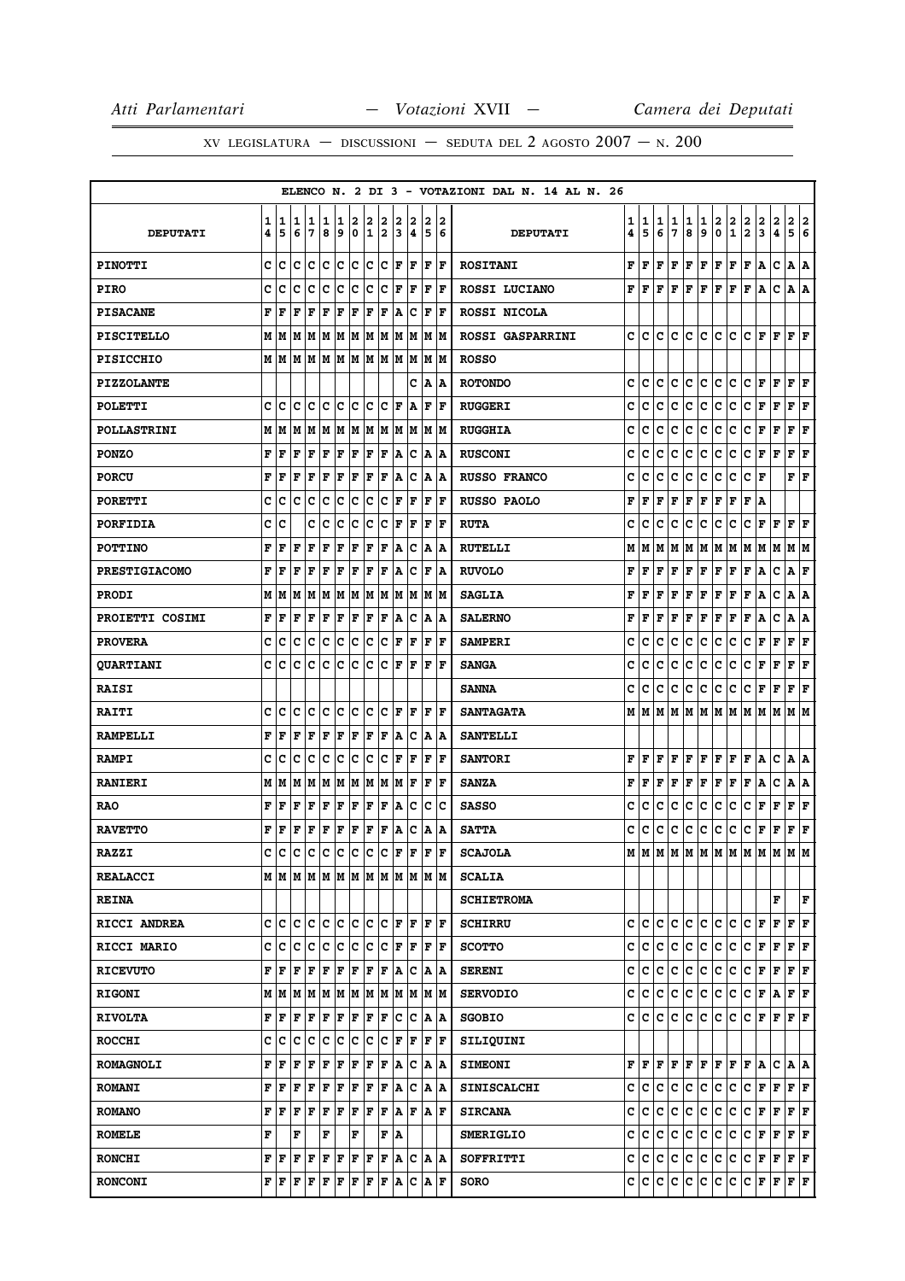|                      |        |        |        |        |             |        |                  |                  |        |        |        |             |         | ELENCO N. 2 DI 3 - VOTAZIONI DAL N. 14 AL N. 26 |        |               |        |        |              |                      |        |                                         |                                         |        |                                                                         |                           |        |
|----------------------|--------|--------|--------|--------|-------------|--------|------------------|------------------|--------|--------|--------|-------------|---------|-------------------------------------------------|--------|---------------|--------|--------|--------------|----------------------|--------|-----------------------------------------|-----------------------------------------|--------|-------------------------------------------------------------------------|---------------------------|--------|
| <b>DEPUTATI</b>      | 1<br>4 | 1<br>5 | 1<br>6 | 1<br>7 | 1<br>8      | 1<br>9 | 2<br>$\mathbf 0$ | 2<br>$\mathbf 1$ | 2<br>2 | 2<br>3 | 2<br>4 | 2<br>5      | 12<br>6 | <b>DEPUTATI</b>                                 | 1<br>4 | 1<br>5        | 1<br>6 | 1<br>7 | 1<br>8       | $\mathbf{1}$<br>9    | 2<br>0 | $\overline{\mathbf{2}}$<br>$\mathbf{1}$ | 2<br>$\mathbf{2}$                       | 2<br>3 | $\mathbf{2}$<br>4                                                       | $\mathbf{2}$<br>5         | 2<br>6 |
|                      |        |        |        |        |             |        |                  |                  |        |        |        |             |         |                                                 |        |               |        |        |              |                      |        |                                         |                                         |        |                                                                         |                           |        |
| <b>PINOTTI</b>       | C      | c      | C      | c      | lc.         | c      | lc.              | lc.              | lc.    | F      | F      | F           | F       | <b>ROSITANI</b>                                 | F      | lF.           | F      |        |              |                      |        |                                         | F F F F F F A                           |        | c                                                                       | A  A                      |        |
| <b>PIRO</b>          | c      | c      | c      | c      | c           | c      | c                | c                | с      | F      | F      | F           | ١F      | ROSSI LUCIANO                                   | F      | F F           |        |        |              |                      |        |                                         | F F F F F F A                           |        | c                                                                       | A   A                     |        |
| <b>PISACANE</b>      | F      | F      | F      | F      | F           | F      | F                | ΙF               | F      | A      | c      | F           | l F     | ROSSI NICOLA                                    |        |               |        |        |              |                      |        |                                         |                                         |        |                                                                         |                           |        |
| <b>PISCITELLO</b>    | М      | M      | M      | MM     |             | M M    |                  | M M              |        |        | M M    |             | M M     | <b>ROSSI GASPARRINI</b>                         | c      | lc.           | lc.    | c      | lc.          |                      |        |                                         |                                         |        | C C C F F F F F                                                         |                           |        |
| <b>PISICCHIO</b>     | M      | M      | M      | M      | lМ          | M      | M                | M                | M M    |        | M      | M           | lМ      | <b>ROSSO</b>                                    |        |               |        |        |              |                      |        |                                         |                                         |        |                                                                         |                           |        |
| <b>PIZZOLANTE</b>    |        |        |        |        |             |        |                  |                  |        |        | c      | A           | ΙA      | <b>ROTONDO</b>                                  | c      | c             | c      | с      | c            | c                    | lc.    | c                                       | c.                                      | F      | F                                                                       | $ {\bf F}  {\bf F} $      |        |
| <b>POLETTI</b>       | C      | c      | C      | c      | C           | c      | c                | c                | c      | F      | ١A     | F           | F       | <b>RUGGERI</b>                                  | c      | c             | c      | c      | c            | c                    | c      | c                                       | c                                       | F      | F                                                                       | ${\bf F} \mid {\bf F}$    |        |
| <b>POLLASTRINI</b>   | M      | M      | M      | M      | M           | M      | M                | M                | M      | M      | M      | M           | lМ      | <b>RUGGHIA</b>                                  | c      | c             | c      | c      | c            | c                    | c      | c                                       | C F F                                   |        |                                                                         | ${\bf F}$ ${\bf F}$       |        |
| <b>PONZO</b>         | F      | F      | F      | F      | $\mathbf F$ | F      | F                | F                | F      | A      | Iс     | A           | ١A      | <b>RUSCONI</b>                                  | c      | с             | с      | с      | c            | с                    | c      | c                                       | lc.                                     | F F    |                                                                         | ${\bf F}$ ${\bf F}$       |        |
| <b>PORCU</b>         | F      | F      | F      | F      | F           | l F    | F                | ΙF               | F      | Α      | c      | Α           | A       | <b>RUSSO FRANCO</b>                             | c      | c             | c      | c      | c            | c                    | c      | с                                       | c                                       | F      |                                                                         | ${\bf F} \mid {\bf F}$    |        |
| <b>PORETTI</b>       | c      | c      | C      | c      | c           | c      | c                | c                | c      | F      | F      | F           | F       | <b>RUSSO PAOLO</b>                              | F      | F             | F      | F      | $\mathbf{F}$ | F F                  |        | F                                       | F A                                     |        |                                                                         |                           |        |
| <b>PORFIDIA</b>      | c      | c      |        | c      | c           | c      | c                | c                | c      | F      | F      | F           | l F     | <b>RUTA</b>                                     | c      | c             | c      | c      | c            | c                    | c      | с                                       | c                                       | F      | F                                                                       | F                         | F      |
| <b>POTTINO</b>       | F      | F      | F      | F      | F           | F      | F                | F                | F      | Α      | c      | Α           | ١A      | <b>RUTELLI</b>                                  | М      | M             | М      | М      | M            | M M                  |        | M                                       |                                         |        | M  M  M  M  M                                                           |                           |        |
| <b>PRESTIGIACOMO</b> | F      | F      | F      | F      | F           | F      | F                | F                | F      | A      | c      | $\mathbf F$ | ۱A      | <b>RUVOLO</b>                                   | F      | F             | F      | F      | F            | ${\bf F}$ $\bf F$    |        | F                                       | F                                       | A      | c                                                                       | A F                       |        |
| <b>PRODI</b>         | М      | M      | lм     | M      | M           | M      | M                | M                | M      | M      | M      | lм          | lМ      | <b>SAGLIA</b>                                   | F      | F             | F      | F      | F            | F                    | F      | F                                       | F                                       | A      | c                                                                       | A   A                     |        |
| PROIETTI COSIMI      | F      | F      | F      | F      | F           | F      | F                | F                | F      | A      | Ιc     | A           | A       | <b>SALERNO</b>                                  | F      | F             | F      | F      | F            | F                    | F      | F                                       | F                                       | Α      | c                                                                       | A   A                     |        |
| <b>PROVERA</b>       | c      | c      | c      | c      | c           | c      | c                | c                | с      | F      | F      | F           | F       | <b>SAMPERI</b>                                  | c      | с             | c      | c      | c            | c                    | c      | c                                       | c                                       | F      | F                                                                       | F                         | F      |
| <b>QUARTIANI</b>     | C      | c      | c      | c      | lc.         | lc.    | c                | lc.              | lc.    | l F    | F      | F           | lF.     | <b>SANGA</b>                                    | c      | с             | c      | c      | c            | c                    | lc.    | c                                       | lc.                                     | F      | $\mathbf{F}$                                                            | ${\bf F}$ ${\bf F}$       |        |
| <b>RAISI</b>         |        |        |        |        |             |        |                  |                  |        |        |        |             |         | <b>SANNA</b>                                    | c      | с             | с      | с      | с            | c                    | c.     | c                                       | lc.                                     | F      | F                                                                       | F                         | F      |
| <b>RAITI</b>         | c      | c      | c      | c      | c           | c      | c                | c                | c      | F      | F      | l F         | ١F      | <b>SANTAGATA</b>                                | М      | IМ            | lм     | M      |              |                      |        |                                         |                                         |        | M  M  M  M  M  M  M  M  M                                               |                           |        |
| <b>RAMPELLI</b>      | F      | F      | F      | F      | $\mathbf F$ | F      | F                | F                | F      | A      | c      | A           | ١A      | <b>SANTELLI</b>                                 |        |               |        |        |              |                      |        |                                         |                                         |        |                                                                         |                           |        |
| <b>RAMPI</b>         | C      | c      | c      | c      | c           | c      | c                | c                | с      | F      | F      | F           | l F     | <b>SANTORI</b>                                  | F      | F             | F      | F      | F            | F                    | F      | F                                       | F                                       | A      | c                                                                       | A   A                     |        |
| <b>RANIERI</b>       | М      | M      | M      | M      | M           | M      | M                | M                | M      | M      | F      | l F         | lF.     | <b>SANZA</b>                                    | F      | F             | F      | F      | F            | $ {\bf F}  {\bf F} $ |        | F                                       | F                                       | A      | c                                                                       | A   A                     |        |
| <b>RAO</b>           | F      | F      | F      | F      | F           | ΙF     | F                | F                | F      | A      | Ιc     | c           | Ιc      | <b>SASSO</b>                                    | c      | с             | с      | c      | c            | c                    | c      | c                                       | c                                       | F      | F                                                                       | ${\bf F}$ ${\bf F}$       |        |
| <b>RAVETTO</b>       | F      | F      | F      | F      | F           | F      | F                | F                | F      | A      | c      | A           | A       | <b>SATTA</b>                                    | c      | с             | c      | с      | c            | c                    | c.     | c                                       | c                                       | F      | F                                                                       | ${\bf F} \,   \, {\bf F}$ |        |
| <b>RAZZI</b>         | C      | lс     | c      | c      | c           | c      | c                | c                | c      | F      | lF.    | l F         | lF.     | <b>SCAJOLA</b>                                  | М      | M             | lм     |        | M M          | MMMMM                |        |                                         |                                         | lм     | lм                                                                      | M  M                      |        |
| <b>REALACCI</b>      |        |        |        |        |             |        |                  |                  |        |        |        |             |         | <b>SCALIA</b>                                   |        |               |        |        |              |                      |        |                                         |                                         |        |                                                                         |                           |        |
| <b>REINA</b>         |        |        |        |        |             |        |                  |                  |        |        |        |             |         | <b>SCHIETROMA</b>                               |        |               |        |        |              |                      |        |                                         |                                         |        | F                                                                       |                           | F      |
| RICCI ANDREA         | c      | c      | c      | c      | ١c          | lc.    | ١c               | lc.              | Ιc     | F      | lF     | F           | ١F      | <b>SCHIRRU</b>                                  | c      | IC.           | c      | c      | c            | c                    | lc.    | c                                       | C F                                     |        | F                                                                       | F F                       |        |
| RICCI MARIO          | c      | c      | lc.    | Iс     | Iс          | lc.    | c                | c                | Iс     | F      | lF.    | F           | F       | <b>SCOTTO</b>                                   | c      | c.            | c      |        | c c          |                      |        |                                         |                                         |        | $ {\bf C}\, {\bf C}\, {\bf C}\, {\bf F}\, {\bf F}\, {\bf F}\, {\bf F} $ |                           |        |
| <b>RICEVUTO</b>      | F      | F      | F      | F      | F           | F      | F                | F                | F      | A      | Iс     | A           | A       | <b>SERENI</b>                                   | с      | c             | c      | c.     | c            | c c                  |        | ∣c∙                                     | C F F                                   |        |                                                                         | F F                       |        |
| <b>RIGONI</b>        | М      | M      | M      | MM     |             | M M    |                  | M M              |        |        | M   M  |             | M  M    | <b>SERVODIO</b>                                 | c      | c             | c      | c      | c            | c c                  |        | c.                                      | C F A                                   |        |                                                                         | ${\bf F}$ $\bf F$         |        |
| <b>RIVOLTA</b>       | F      | F      | F      | F      | F           | F      | F                | F                | F      | c      | Iс     | A           | ١A      | <b>SGOBIO</b>                                   | c      | C             | c      | c      | c            | c                    | lc.    | c                                       | ∣c∶                                     | F F    |                                                                         | F F                       |        |
| <b>ROCCHI</b>        | C      | c      | c      | c      | c           | c      | c                | c                | c      | F      | F      |             | F  F    | SILIQUINI                                       |        |               |        |        |              |                      |        |                                         |                                         |        |                                                                         |                           |        |
| <b>ROMAGNOLI</b>     | F      | F      | F      | F      | F           | F      | F                | F                | F      | ١A     | Iс     |             | A  A    | <b>SIMEONI</b>                                  |        | $_{\rm F F }$ | F      |        |              |                      |        |                                         | F F F F F F A                           |        | CAA                                                                     |                           |        |
| <b>ROMANI</b>        | F      | F      | F      | F      | F           | F      | F                | F                | F      | A      | Iс     | A           | ١A      | <b>SINISCALCHI</b>                              | c      | lC.           | с      | c      | lc.          | c c                  |        | lc.                                     |                                         |        | $ {\bf C}\, {\bf F}\, {\bf F}\, {\bf F}\, {\bf F} $                     |                           |        |
| <b>ROMANO</b>        | F      | F      | F      | F      | F           | F      | F                | F                | F      | A      | lF.    | A F         |         | <b>SIRCANA</b>                                  | c      | c             | lc.    |        | c c          |                      |        |                                         |                                         |        | C C C F F F F F                                                         |                           |        |
| <b>ROMELE</b>        | F      |        | F      |        | F           |        | F                |                  | F      | ١A     |        |             |         | <b>SMERIGLIO</b>                                | c      | c             | c      | c      | lc.          |                      |        |                                         | C C C F F                               |        |                                                                         | F F                       |        |
| <b>RONCHI</b>        | F      | F      | F      | F      | F           | F      | F                | F                | F      | ΙA.    | c      |             | A  A    | SOFFRITTI                                       | c      | c c           |        |        | c c          |                      |        |                                         | C C C F F                               |        |                                                                         | F F                       |        |
| <b>RONCONI</b>       | F      | F      | F      | F      | F           | F      | F                | F                | F      | ١A     | Ιc     | A           | F       | <b>SORO</b>                                     |        | c c c         |        |        | c c          | c c                  |        |                                         | $ {\tt C}\, {\tt C}\, $ F $ {\tt F}\, $ |        |                                                                         | F F                       |        |
|                      |        |        |        |        |             |        |                  |                  |        |        |        |             |         |                                                 |        |               |        |        |              |                      |        |                                         |                                         |        |                                                                         |                           |        |